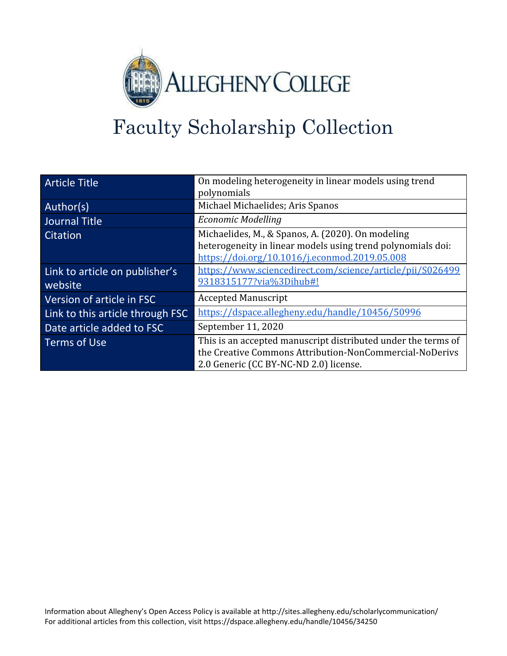

# Faculty Scholarship Collection

| <b>Article Title</b>             | On modeling heterogeneity in linear models using trend        |
|----------------------------------|---------------------------------------------------------------|
|                                  | polynomials                                                   |
| Author(s)                        | Michael Michaelides; Aris Spanos                              |
| Journal Title                    | <b>Economic Modelling</b>                                     |
| <b>Citation</b>                  | Michaelides, M., & Spanos, A. (2020). On modeling             |
|                                  | heterogeneity in linear models using trend polynomials doi:   |
|                                  | https://doi.org/10.1016/j.econmod.2019.05.008                 |
| Link to article on publisher's   | https://www.sciencedirect.com/science/article/pii/S026499     |
| website                          | 9318315177?via%3Dihub#!                                       |
| Version of article in FSC        | <b>Accepted Manuscript</b>                                    |
| Link to this article through FSC | https://dspace.allegheny.edu/handle/10456/50996               |
| Date article added to FSC        | September 11, 2020                                            |
| <b>Terms of Use</b>              | This is an accepted manuscript distributed under the terms of |
|                                  | the Creative Commons Attribution-NonCommercial-NoDerivs       |
|                                  | 2.0 Generic (CC BY-NC-ND 2.0) license.                        |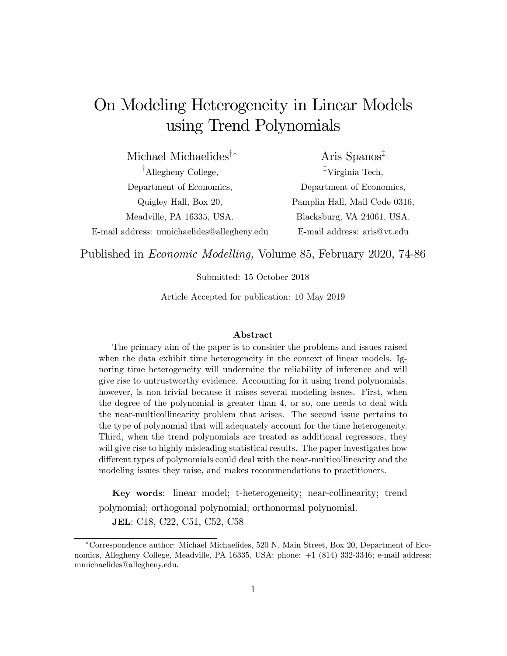## On Modeling Heterogeneity in Linear Models using Trend Polynomials

Michaelides<sup> $\dagger$ \*</sup>  $\dagger$ Allegheny College, Department of Economics, Quigley Hall, Box 20, Meadville, PA 16335, USA. E-mail address: mmichaelides@allegheny.edu Aris Spanos<sup> $†$ </sup> <sup> $\ddagger$ </sup>Virginia Tech, Department of Economics, Pamplin Hall, Mail Code 0316, Blacksburg, VA 24061, USA. E-mail address: aris@vt.edu

Published in Economic Modelling, Volume 85, February 2020, 74-86

Submitted: 15 October 2018

Article Accepted for publication: 10 May 2019

#### Abstract

The primary aim of the paper is to consider the problems and issues raised when the data exhibit time heterogeneity in the context of linear models. Ignoring time heterogeneity will undermine the reliability of inference and will give rise to untrustworthy evidence. Accounting for it using trend polynomials, however, is non-trivial because it raises several modeling issues. First, when the degree of the polynomial is greater than 4, or so, one needs to deal with the near-multicollinearity problem that arises. The second issue pertains to the type of polynomial that will adequately account for the time heterogeneity. Third, when the trend polynomials are treated as additional regressors, they will give rise to highly misleading statistical results. The paper investigates how different types of polynomials could deal with the near-multicollinearity and the modeling issues they raise, and makes recommendations to practitioners.

Key words: linear model; t-heterogeneity; near-collinearity; trend polynomial; orthogonal polynomial; orthonormal polynomial. JEL: C18, C22, C51, C52, C58

Correspondence author: Michael Michaelides, 520 N. Main Street, Box 20, Department of Economics, Allegheny College, Meadville, PA 16335, USA; phone: +1 (814) 332-3346; e-mail address: mmichaelides@allegheny.edu.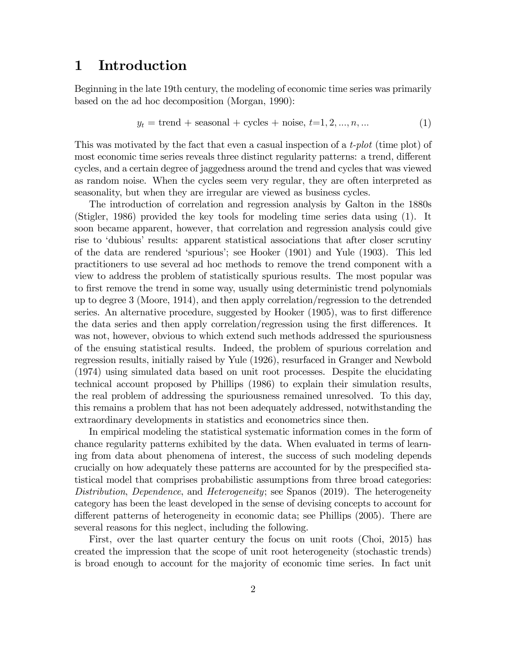## 1 Introduction

Beginning in the late 19th century, the modeling of economic time series was primarily based on the ad hoc decomposition (Morgan, 1990):

$$
y_t = \text{trend} + \text{seasonal} + \text{cycles} + \text{noise}, t = 1, 2, ..., n, ...
$$
 (1)

This was motivated by the fact that even a casual inspection of a t-plot (time plot) of most economic time series reveals three distinct regularity patterns: a trend, different cycles, and a certain degree of jaggedness around the trend and cycles that was viewed as random noise. When the cycles seem very regular, they are often interpreted as seasonality, but when they are irregular are viewed as business cycles.

The introduction of correlation and regression analysis by Galton in the 1880s (Stigler, 1986) provided the key tools for modeling time series data using (1). It soon became apparent, however, that correlation and regression analysis could give rise to 'dubious' results: apparent statistical associations that after closer scrutiny of the data are rendered ëspuriousí; see Hooker (1901) and Yule (1903). This led practitioners to use several ad hoc methods to remove the trend component with a view to address the problem of statistically spurious results. The most popular was to first remove the trend in some way, usually using deterministic trend polynomials up to degree 3 (Moore, 1914), and then apply correlation/regression to the detrended series. An alternative procedure, suggested by Hooker  $(1905)$ , was to first difference the data series and then apply correlation/regression using the first differences. It was not, however, obvious to which extend such methods addressed the spuriousness of the ensuing statistical results. Indeed, the problem of spurious correlation and regression results, initially raised by Yule (1926), resurfaced in Granger and Newbold (1974) using simulated data based on unit root processes. Despite the elucidating technical account proposed by Phillips (1986) to explain their simulation results, the real problem of addressing the spuriousness remained unresolved. To this day, this remains a problem that has not been adequately addressed, notwithstanding the extraordinary developments in statistics and econometrics since then.

In empirical modeling the statistical systematic information comes in the form of chance regularity patterns exhibited by the data. When evaluated in terms of learning from data about phenomena of interest, the success of such modeling depends crucially on how adequately these patterns are accounted for by the prespecified statistical model that comprises probabilistic assumptions from three broad categories: Distribution, Dependence, and Heterogeneity; see Spanos (2019). The heterogeneity category has been the least developed in the sense of devising concepts to account for different patterns of heterogeneity in economic data; see Phillips (2005). There are several reasons for this neglect, including the following.

First, over the last quarter century the focus on unit roots (Choi, 2015) has created the impression that the scope of unit root heterogeneity (stochastic trends) is broad enough to account for the majority of economic time series. In fact unit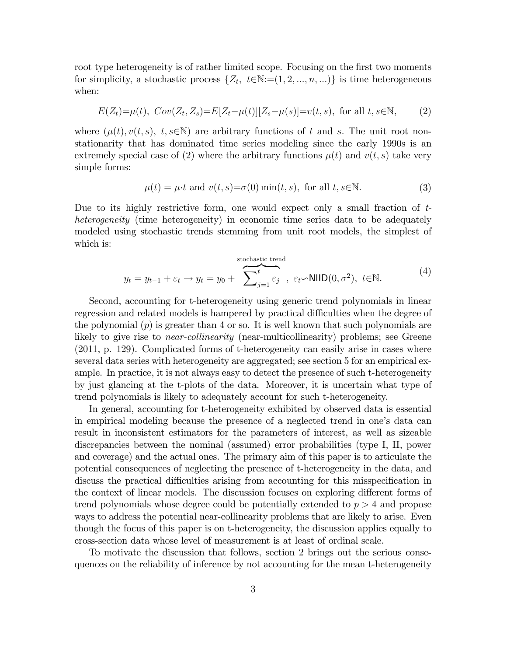root type heterogeneity is of rather limited scope. Focusing on the first two moments for simplicity, a stochastic process  $\{Z_t, t \in \mathbb{N} :=(1,2,...,n,...)\}\)$  is time heterogeneous when:

$$
E(Z_t) = \mu(t), \ Cov(Z_t, Z_s) = E[Z_t - \mu(t)][Z_s - \mu(s)] = v(t, s), \text{ for all } t, s \in \mathbb{N}, \tag{2}
$$

where  $(\mu(t), v(t, s), t, s \in \mathbb{N})$  are arbitrary functions of t and s. The unit root nonstationarity that has dominated time series modeling since the early 1990s is an extremely special case of (2) where the arbitrary functions  $\mu(t)$  and  $v(t, s)$  take very simple forms:

$$
\mu(t) = \mu \cdot t \text{ and } v(t,s) = \sigma(0) \min(t,s), \text{ for all } t, s \in \mathbb{N}.
$$
 (3)

Due to its highly restrictive form, one would expect only a small fraction of  $t$ heterogeneity (time heterogeneity) in economic time series data to be adequately modeled using stochastic trends stemming from unit root models, the simplest of which is:

$$
y_t = y_{t-1} + \varepsilon_t \to y_t = y_0 + \sum_{j=1}^{\text{stochastic trend}} \varepsilon_j , \varepsilon_t \sim \text{NIID}(0, \sigma^2), t \in \mathbb{N}.
$$
 (4)

Second, accounting for t-heterogeneity using generic trend polynomials in linear regression and related models is hampered by practical difficulties when the degree of the polynomial  $(p)$  is greater than 4 or so. It is well known that such polynomials are likely to give rise to *near-collinearity* (near-multicollinearity) problems; see Greene (2011, p. 129). Complicated forms of t-heterogeneity can easily arise in cases where several data series with heterogeneity are aggregated; see section 5 for an empirical example. In practice, it is not always easy to detect the presence of such t-heterogeneity by just glancing at the t-plots of the data. Moreover, it is uncertain what type of trend polynomials is likely to adequately account for such t-heterogeneity.

In general, accounting for t-heterogeneity exhibited by observed data is essential in empirical modeling because the presence of a neglected trend in one's data can result in inconsistent estimators for the parameters of interest, as well as sizeable discrepancies between the nominal (assumed) error probabilities (type I, II, power and coverage) and the actual ones. The primary aim of this paper is to articulate the potential consequences of neglecting the presence of t-heterogeneity in the data, and discuss the practical difficulties arising from accounting for this misspecification in the context of linear models. The discussion focuses on exploring different forms of trend polynomials whose degree could be potentially extended to  $p > 4$  and propose ways to address the potential near-collinearity problems that are likely to arise. Even though the focus of this paper is on t-heterogeneity, the discussion applies equally to cross-section data whose level of measurement is at least of ordinal scale.

To motivate the discussion that follows, section 2 brings out the serious consequences on the reliability of inference by not accounting for the mean t-heterogeneity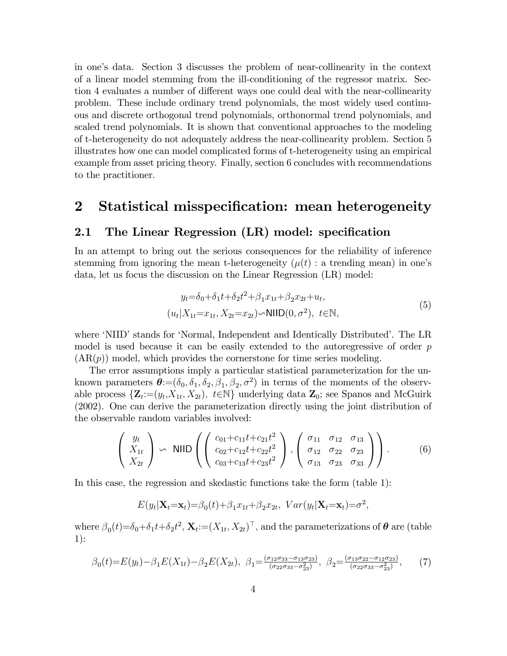in oneís data. Section 3 discusses the problem of near-collinearity in the context of a linear model stemming from the ill-conditioning of the regressor matrix. Section 4 evaluates a number of different ways one could deal with the near-collinearity problem. These include ordinary trend polynomials, the most widely used continuous and discrete orthogonal trend polynomials, orthonormal trend polynomials, and scaled trend polynomials. It is shown that conventional approaches to the modeling of t-heterogeneity do not adequately address the near-collinearity problem. Section 5 illustrates how one can model complicated forms of t-heterogeneity using an empirical example from asset pricing theory. Finally, section 6 concludes with recommendations to the practitioner.

## 2 Statistical misspecification: mean heterogeneity

#### 2.1 The Linear Regression  $(LR)$  model: specification

In an attempt to bring out the serious consequences for the reliability of inference stemming from ignoring the mean t-heterogeneity  $(\mu(t) : a$  trending mean) in one's data, let us focus the discussion on the Linear Regression (LR) model:

$$
y_t = \delta_0 + \delta_1 t + \delta_2 t^2 + \beta_1 x_{1t} + \beta_2 x_{2t} + u_t,
$$
  
\n
$$
(u_t | X_{1t} = x_{1t}, X_{2t} = x_{2t}) \sim \text{NIID}(0, \sigma^2), \ t \in \mathbb{N},
$$
\n(5)

where 'NIID' stands for 'Normal, Independent and Identically Distributed'. The LR model is used because it can be easily extended to the autoregressive of order  $p$  $(AR(p))$  model, which provides the cornerstone for time series modeling.

The error assumptions imply a particular statistical parameterization for the unknown parameters  $\boldsymbol{\theta} := (\delta_0, \delta_1, \delta_2, \beta_1, \beta_2, \sigma^2)$  in terms of the moments of the observable process  $\{Z_t:=(y_t,X_{1t},X_{2t}), t\in\mathbb{N}\}\$  underlying data  $Z_0$ ; see Spanos and McGuirk (2002). One can derive the parameterization directly using the joint distribution of the observable random variables involved:

$$
\begin{pmatrix} y_t \\ X_{1t} \\ X_{2t} \end{pmatrix} \sim \text{NIID}\left(\begin{pmatrix} c_{01}+c_{11}t+c_{21}t^2 \\ c_{02}+c_{12}t+c_{22}t^2 \\ c_{03}+c_{13}t+c_{23}t^2 \end{pmatrix}, \begin{pmatrix} \sigma_{11} & \sigma_{12} & \sigma_{13} \\ \sigma_{12} & \sigma_{22} & \sigma_{23} \\ \sigma_{13} & \sigma_{23} & \sigma_{33} \end{pmatrix}\right).
$$
 (6)

In this case, the regression and skedastic functions take the form (table 1):

$$
E(yt|\mathbf{X}_{t}=\mathbf{x}_{t})=\beta_{0}(t)+\beta_{1}x_{1t}+\beta_{2}x_{2t}, Var(y_{t}|\mathbf{X}_{t}=\mathbf{x}_{t})=\sigma^{2},
$$

where  $\beta_0(t) = \delta_0 + \delta_1 t + \delta_2 t^2$ ,  $\mathbf{X}_t := (X_{1t}, X_{2t})^\top$ , and the parameterizations of  $\boldsymbol{\theta}$  are (table 1):

$$
\beta_0(t) = E(y_t) - \beta_1 E(X_{1t}) - \beta_2 E(X_{2t}), \ \beta_1 = \frac{(\sigma_{12}\sigma_{33} - \sigma_{13}\sigma_{23})}{(\sigma_{22}\sigma_{33} - \sigma_{23}^2)}, \ \beta_2 = \frac{(\sigma_{13}\sigma_{22} - \sigma_{12}\sigma_{23})}{(\sigma_{22}\sigma_{33} - \sigma_{23}^2)}, \tag{7}
$$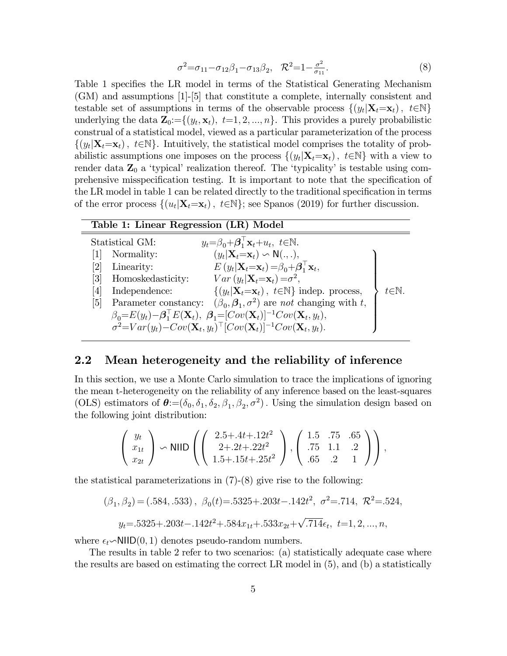$$
\sigma^2 = \sigma_{11} - \sigma_{12}\beta_1 - \sigma_{13}\beta_2, \quad \mathcal{R}^2 = 1 - \frac{\sigma^2}{\sigma_{11}}.
$$
 (8)

Table 1 specifies the LR model in terms of the Statistical Generating Mechanism (GM) and assumptions [1]-[5] that constitute a complete, internally consistent and testable set of assumptions in terms of the observable process  $\{(y_t|\mathbf{X}_t=\mathbf{x}_t), t\in\mathbb{N}\}\$ underlying the data  $\mathbf{Z}_0 = \{(y_t, \mathbf{x}_t), t = 1, 2, ..., n\}$ . This provides a purely probabilistic construal of a statistical model, viewed as a particular parameterization of the process  $\{(y_t|\mathbf{X}_t=\mathbf{x}_t), t\in\mathbb{N}\}\.$  Intuitively, the statistical model comprises the totality of probabilistic assumptions one imposes on the process  $\{(y_t|\mathbf{X}_t=\mathbf{x}_t), t\in\mathbb{N}\}\)$  with a view to render data  $\mathbb{Z}_0$  a 'typical' realization thereof. The 'typicality' is testable using comprehensive misspecification testing. It is important to note that the specification of the LR model in table 1 can be related directly to the traditional specification in terms of the error process  $\{(u_t|\mathbf{X}_t=\mathbf{x}_t), t\in\mathbb{N}\};$  see Spanos (2019) for further discussion.

| Table 1: Linear Regression (LR) Model |                                                                                                                                           |                    |
|---------------------------------------|-------------------------------------------------------------------------------------------------------------------------------------------|--------------------|
| Statistical GM:                       | $y_t = \beta_0 + \boldsymbol{\beta}_1^{\top} \mathbf{x}_t + u_t, t \in \mathbb{N}.$                                                       |                    |
| Normality:                            | $(y_t \mathbf{X}_t=\mathbf{x}_t) \backsim \mathsf{N}(\cdot,\cdot),$                                                                       |                    |
| Linearity:<br>[2]                     | $E(y_t \mathbf{X}_t=\mathbf{x}_t)=\beta_0+\boldsymbol{\beta}_1^\top\mathbf{x}_t,$                                                         |                    |
| Homoskedasticity:<br>[3]              | $Var(y_t \mathbf{X}_t=\mathbf{x}_t) = \sigma^2$ ,                                                                                         |                    |
| Independence:<br>4                    | $\{(y_t \mathbf{X}_t=\mathbf{x}_t), t\in\mathbb{N}\}\$ indep. process,                                                                    | $t\in\mathbb{N}$ . |
| [5]<br>Parameter constancy:           | $(\beta_0, \beta_1, \sigma^2)$ are <i>not</i> changing with t,                                                                            |                    |
|                                       | $\beta_0 = E(y_t) - \boldsymbol{\beta}_1^\top E(\mathbf{X}_t), \ \boldsymbol{\beta}_1 = [Cov(\mathbf{X}_t)]^{-1} Cov(\mathbf{X}_t, y_t),$ |                    |
|                                       | $\sigma^2 = Var(y_t) - Cov(\mathbf{X}_t, y_t)^\top [Cov(\mathbf{X}_t)]^{-1} Cov(\mathbf{X}_t, y_t).$                                      |                    |

#### 2.2 Mean heterogeneity and the reliability of inference

In this section, we use a Monte Carlo simulation to trace the implications of ignoring the mean t-heterogeneity on the reliability of any inference based on the least-squares (OLS) estimators of  $\theta := (\delta_0, \delta_1, \delta_2, \beta_1, \beta_2, \sigma^2)$ . Using the simulation design based on the following joint distribution:

$$
\begin{pmatrix} y_t \\ x_{1t} \\ x_{2t} \end{pmatrix} \sim \text{NIID} \left( \begin{pmatrix} 2.5 + .4t + .12t^2 \\ 2 + .2t + .22t^2 \\ 1.5 + .15t + .25t^2 \end{pmatrix}, \begin{pmatrix} 1.5 & .75 & .65 \\ .75 & 1.1 & .2 \\ .65 & .2 & 1 \end{pmatrix} \right),
$$

the statistical parameterizations in (7)-(8) give rise to the following:

$$
(\beta_1, \beta_2) = (.584, .533), \ \beta_0(t) = .5325 + .203t - .142t^2, \ \sigma^2 = .714, \ \mathcal{R}^2 = .524,
$$
  

$$
y_t = .5325 + .203t - .142t^2 + .584x_{1t} + .533x_{2t} + \sqrt{.714}\epsilon_t, \ t = 1, 2, ..., n,
$$

where  $\epsilon_t$  NIID(0, 1) denotes pseudo-random numbers.

 $\overline{z}$ 

The results in table 2 refer to two scenarios: (a) statistically adequate case where the results are based on estimating the correct LR model in (5), and (b) a statistically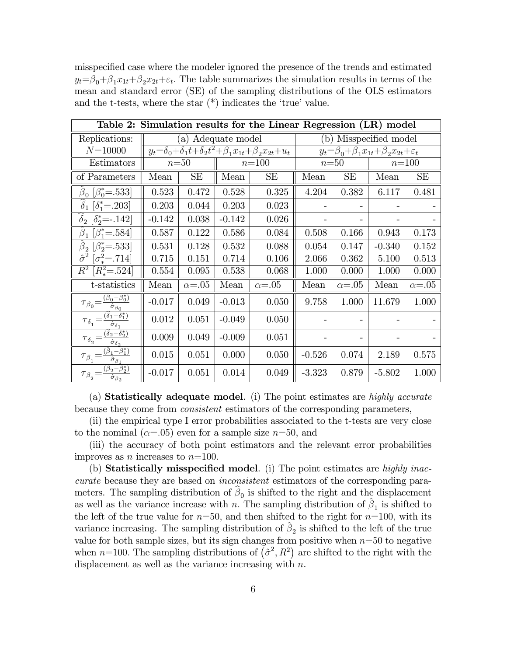| misspecified case where the modeler ignored the presence of the trends and estimated                                         |
|------------------------------------------------------------------------------------------------------------------------------|
| $y_t = \beta_0 + \beta_1 x_{1t} + \beta_2 x_{2t} + \epsilon_t$ . The table summarizes the simulation results in terms of the |
| mean and standard error (SE) of the sampling distributions of the OLS estimators                                             |
| and the t-tests, where the star $(*)$ indicates the 'true' value.                                                            |

|                                                                                                                                     | Table 2: Simulation results for the Linear Regression (LR) model |                    |          |                                                                                      |                        |                |                                                                   |                 |
|-------------------------------------------------------------------------------------------------------------------------------------|------------------------------------------------------------------|--------------------|----------|--------------------------------------------------------------------------------------|------------------------|----------------|-------------------------------------------------------------------|-----------------|
| Replications:                                                                                                                       |                                                                  | (a) Adequate model |          |                                                                                      | (b) Misspecified model |                |                                                                   |                 |
| $N = 10000$                                                                                                                         |                                                                  |                    |          | $y_t = \delta_0 + \delta_1 t + \delta_2 t^2 + \beta_1 x_{1t} + \beta_2 x_{2t} + u_t$ |                        |                | $y_t = \beta_0 + \beta_1 x_{1t} + \beta_2 x_{2t} + \varepsilon_t$ |                 |
| Estimators                                                                                                                          |                                                                  | $n=50$             |          | $n = 100$                                                                            |                        | $n=50$         |                                                                   | $n = 100$       |
| of Parameters                                                                                                                       | Mean                                                             | SE                 | Mean     | SE                                                                                   | Mean                   | SE             | Mean                                                              | SE              |
| $\beta_0$ [ $\beta_0^*$ = 533]                                                                                                      | 0.523                                                            | 0.472              | 0.528    | 0.325                                                                                | 4.204                  | 0.382          | 6.117                                                             | 0.481           |
| $\widehat{\delta}_1$ [ $\delta_1^* = .203$ ]                                                                                        | 0.203                                                            | 0.044              | 0.203    | 0.023                                                                                |                        |                |                                                                   |                 |
| $\hat{\delta}_2$ [ $\delta_2^* = -.142$ ]                                                                                           | $-0.142$                                                         | 0.038              | $-0.142$ | 0.026                                                                                |                        |                |                                                                   |                 |
| $\beta_1$ $\beta_1^* = .584$                                                                                                        | 0.587                                                            | 0.122              | 0.586    | 0.084                                                                                | 0.508                  | 0.166          | 0.943                                                             | 0.173           |
| $\beta_2$ $\beta_2^* = 533$                                                                                                         | 0.531                                                            | 0.128              | 0.532    | 0.088                                                                                | 0.054                  | 0.147          | $-0.340$                                                          | 0.152           |
| $\hat{\sigma}^2$ $[\sigma^2 = 714]$                                                                                                 | 0.715                                                            | 0.151              | 0.714    | 0.106                                                                                | 2.066                  | 0.362          | 5.100                                                             | 0.513           |
| $R^2$ [ $R_*^2$ =.524]                                                                                                              | 0.554                                                            | 0.095              | 0.538    | 0.068                                                                                | 1.000                  | 0.000          | 1.000                                                             | 0.000           |
| t-statistics                                                                                                                        | Mean                                                             | $\alpha = 0.05$    | Mean     | $\alpha = 0.05$                                                                      | Mean                   | $\alpha = .05$ | Mean                                                              | $\alpha = 0.05$ |
| $\tau_{\beta_0} = \frac{(\beta_0 - \beta_0^*)}{\hat{\sigma}_{\beta_0}}$                                                             | $-0.017$                                                         | 0.049              | $-0.013$ | 0.050                                                                                | 9.758                  | 1.000          | 11.679                                                            | 1.000           |
| $\overline{\tau_{\delta_1}} = \frac{(\hat{\delta}_1 - \delta_1^*)}{\hat{\sigma}_{\delta_1}}$                                        | 0.012                                                            | 0.051              | $-0.049$ | 0.050                                                                                |                        |                |                                                                   |                 |
| $\tau_{\delta_2} = \frac{(\widehat{\delta}_2 - \delta_2^*)}{\widehat{\sigma}_{\delta_2}}$                                           | 0.009                                                            | 0.049              | $-0.009$ | 0.051                                                                                |                        |                |                                                                   |                 |
| $\underline{\tau}_{\beta_1} \! = \! \tfrac{(\overbrace{\beta_1 - \beta_1^*})}{\hat{\sigma}}$<br>$\overline{\hat{\sigma}_{\beta_1}}$ | 0.015                                                            | 0.051              | 0.000    | 0.050                                                                                | $-0.526$               | 0.074          | 2.189                                                             | 0.575           |
| $\left(\hat{\boldsymbol{\beta}}_{2}-\boldsymbol{\beta}_{2}^{*}\right)$<br>$\tau_{\beta_{2}}$<br>$\hat{\sigma}_{\beta_2}$            | $-0.017$                                                         | 0.051              | 0.014    | 0.049                                                                                | $-3.323$               | 0.879          | $-5.802$                                                          | 1.000           |

(a) Statistically adequate model. (i) The point estimates are highly accurate because they come from consistent estimators of the corresponding parameters,

(ii) the empirical type I error probabilities associated to the t-tests are very close to the nominal  $(\alpha=0.05)$  even for a sample size  $n=50$ , and

(iii) the accuracy of both point estimators and the relevant error probabilities improves as *n* increases to  $n=100$ .

(b) Statistically misspecified model. (i) The point estimates are highly inaccurate because they are based on inconsistent estimators of the corresponding parameters. The sampling distribution of  $\beta_0$  is shifted to the right and the displacement as well as the variance increase with n. The sampling distribution of  $\hat{\beta}_1$  is shifted to the left of the true value for  $n=50$ , and then shifted to the right for  $n=100$ , with its variance increasing. The sampling distribution of  $\hat{\beta}_2$  is shifted to the left of the true value for both sample sizes, but its sign changes from positive when  $n=50$  to negative when  $n=100$ . The sampling distributions of  $(\hat{\sigma}^2, R^2)$  are shifted to the right with the displacement as well as the variance increasing with  $n$ .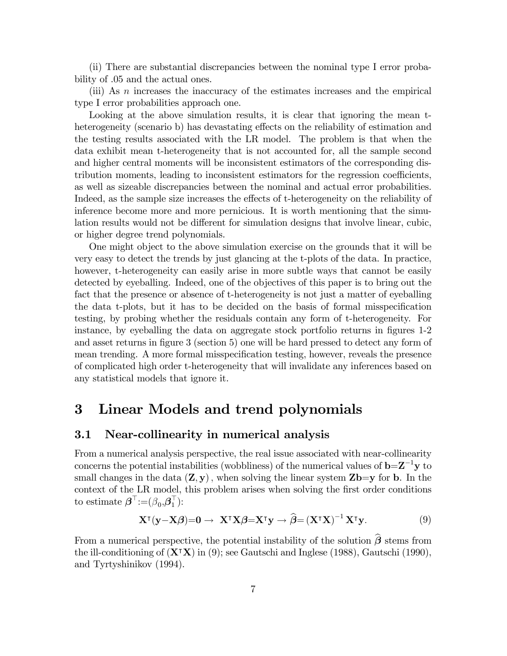(ii) There are substantial discrepancies between the nominal type I error probability of .05 and the actual ones.

(iii) As n increases the inaccuracy of the estimates increases and the empirical type I error probabilities approach one.

Looking at the above simulation results, it is clear that ignoring the mean theterogeneity (scenario b) has devastating effects on the reliability of estimation and the testing results associated with the LR model. The problem is that when the data exhibit mean t-heterogeneity that is not accounted for, all the sample second and higher central moments will be inconsistent estimators of the corresponding distribution moments, leading to inconsistent estimators for the regression coefficients, as well as sizeable discrepancies between the nominal and actual error probabilities. Indeed, as the sample size increases the effects of t-heterogeneity on the reliability of inference become more and more pernicious. It is worth mentioning that the simulation results would not be different for simulation designs that involve linear, cubic, or higher degree trend polynomials.

One might object to the above simulation exercise on the grounds that it will be very easy to detect the trends by just glancing at the t-plots of the data. In practice, however, t-heterogeneity can easily arise in more subtle ways that cannot be easily detected by eyeballing. Indeed, one of the objectives of this paper is to bring out the fact that the presence or absence of t-heterogeneity is not just a matter of eyeballing the data t-plots, but it has to be decided on the basis of formal misspecification testing, by probing whether the residuals contain any form of t-heterogeneity. For instance, by eyeballing the data on aggregate stock portfolio returns in figures 1-2 and asset returns in figure 3 (section 5) one will be hard pressed to detect any form of mean trending. A more formal misspecification testing, however, reveals the presence of complicated high order t-heterogeneity that will invalidate any inferences based on any statistical models that ignore it.

## 3 Linear Models and trend polynomials

#### 3.1 Near-collinearity in numerical analysis

From a numerical analysis perspective, the real issue associated with near-collinearity concerns the potential instabilities (wobbliness) of the numerical values of  $\mathbf{b} = \mathbf{Z}^{-1} \mathbf{y}$  to small changes in the data  $(\mathbf{Z}, \mathbf{y})$ , when solving the linear system  $\mathbf{Z}\mathbf{b} = \mathbf{y}$  for **b**. In the context of the LR model, this problem arises when solving the first order conditions to estimate  $\boldsymbol{\beta}^{\top}$ := $(\beta_0,\boldsymbol{\beta}_1^{\top})$ :

$$
\mathbf{X}^{\mathsf{T}}(\mathbf{y}-\mathbf{X}\boldsymbol{\beta})=\mathbf{0}\to\mathbf{X}^{\mathsf{T}}\mathbf{X}\boldsymbol{\beta}=\mathbf{X}^{\mathsf{T}}\mathbf{y}\to\widehat{\boldsymbol{\beta}}=(\mathbf{X}^{\mathsf{T}}\mathbf{X})^{-1}\mathbf{X}^{\mathsf{T}}\mathbf{y}.\tag{9}
$$

From a numerical perspective, the potential instability of the solution  $\beta$  stems from the ill-conditioning of  $(X^{\dagger}X)$  in (9); see Gautschi and Inglese (1988), Gautschi (1990), and Tyrtyshinikov (1994).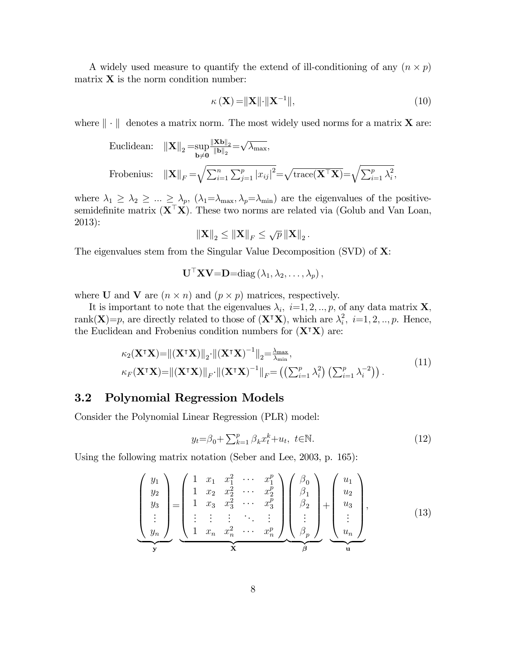A widely used measure to quantify the extend of ill-conditioning of any  $(n \times p)$ matrix  $X$  is the norm condition number:

$$
\kappa\left(\mathbf{X}\right) = \|\mathbf{X}\| \cdot \|\mathbf{X}^{-1}\|,\tag{10}
$$

;

where  $\|\cdot\|$  denotes a matrix norm. The most widely used norms for a matrix **X** are:

Euclidean: 
$$
\|\mathbf{X}\|_2 = \sup_{\mathbf{b}\neq\mathbf{0}} \frac{\|\mathbf{X}\mathbf{b}\|_2}{\|\mathbf{b}\|_2} = \sqrt{\lambda_{\max}},
$$
  
 Frobenius:  $\|\mathbf{X}\|_F = \sqrt{\sum_{i=1}^n \sum_{j=1}^p |x_{ij}|^2} = \sqrt{\text{trace}(\mathbf{X}^\top \mathbf{X})} = \sqrt{\sum_{i=1}^p \lambda_i^2}$ 

where  $\lambda_1 \geq \lambda_2 \geq ... \geq \lambda_p$ ,  $(\lambda_1=\lambda_{\max}, \lambda_p=\lambda_{\min})$  are the eigenvalues of the positivesemidefinite matrix  $(X^{\top}X)$ . These two norms are related via (Golub and Van Loan, 2013):

$$
\left\| \mathbf{X} \right\|_2 \le \left\| \mathbf{X} \right\|_F \le \sqrt{p} \left\| \mathbf{X} \right\|_2.
$$

The eigenvalues stem from the Singular Value Decomposition (SVD) of  $X$ :

$$
\mathbf{U}^{\top} \mathbf{X} \mathbf{V} = \mathbf{D} = \text{diag} (\lambda_1, \lambda_2, \dots, \lambda_p),
$$

where **U** and **V** are  $(n \times n)$  and  $(p \times p)$  matrices, respectively.

It is important to note that the eigenvalues  $\lambda_i$ ,  $i=1, 2, ..., p$ , of any data matrix **X**, rank $(X)=p$ , are directly related to those of  $(X<sup>T</sup>X)$ , which are  $\lambda_i^2$  $i<sub>i</sub>$ ,  $i=1,2,..,p$ . Hence, the Euclidean and Frobenius condition numbers for  $(X^{\dagger}X)$  are:

$$
\kappa_2(\mathbf{X}^\mathsf{T}\mathbf{X}) = \|(\mathbf{X}^\mathsf{T}\mathbf{X})\|_2 \cdot \|(\mathbf{X}^\mathsf{T}\mathbf{X})^{-1}\|_2 = \frac{\lambda_{\text{max}}}{\lambda_{\text{min}}},
$$
\n
$$
\kappa_F(\mathbf{X}^\mathsf{T}\mathbf{X}) = \|(\mathbf{X}^\mathsf{T}\mathbf{X})\|_F \cdot \|(\mathbf{X}^\mathsf{T}\mathbf{X})^{-1}\|_F = \left(\left(\sum_{i=1}^p \lambda_i^2\right) \left(\sum_{i=1}^p \lambda_i^{-2}\right)\right).
$$
\n(11)

#### 3.2 Polynomial Regression Models

Consider the Polynomial Linear Regression (PLR) model:

$$
y_t = \beta_0 + \sum_{k=1}^p \beta_k x_t^k + u_t, \ t \in \mathbb{N}.
$$
 (12)

Using the following matrix notation (Seber and Lee, 2003, p. 165):

$$
\begin{pmatrix}\ny_1 \\
y_2 \\
y_3 \\
\vdots \\
y_n\n\end{pmatrix} = \begin{pmatrix}\n1 & x_1 & x_1^2 & \cdots & x_1^p \\
1 & x_2 & x_2^2 & \cdots & x_2^p \\
1 & x_3 & x_3^2 & \cdots & x_3^p \\
\vdots & \vdots & \vdots & \ddots & \vdots \\
1 & x_n & x_n^2 & \cdots & x_n^p\n\end{pmatrix} \begin{pmatrix}\n\beta_0 \\
\beta_1 \\
\beta_2 \\
\vdots \\
\beta_p\n\end{pmatrix} + \begin{pmatrix}\nu_1 \\
u_2 \\
u_3 \\
\vdots \\
u_n\n\end{pmatrix},
$$
\n(13)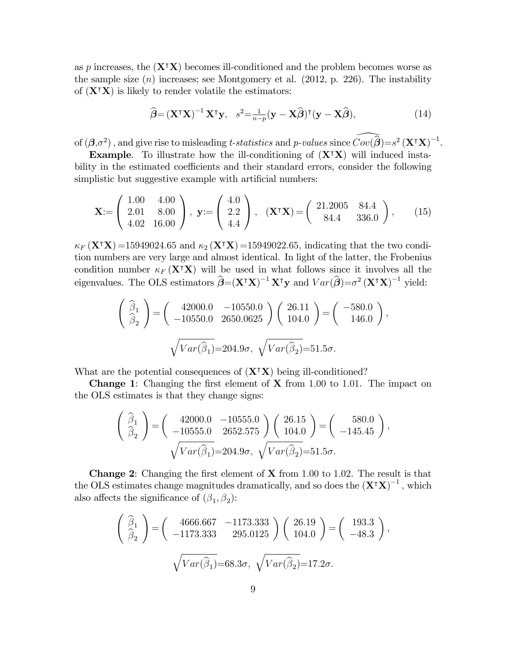as p increases, the  $(X^{\dagger}X)$  becomes ill-conditioned and the problem becomes worse as the sample size  $(n)$  increases; see Montgomery et al.  $(2012, p. 226)$ . The instability of  $(X^{\dagger}X)$  is likely to render volatile the estimators:

$$
\widehat{\boldsymbol{\beta}} = (\mathbf{X}^\mathsf{T} \mathbf{X})^{-1} \mathbf{X}^\mathsf{T} \mathbf{y}, \quad s^2 = \frac{1}{n-p} (\mathbf{y} - \mathbf{X} \widehat{\boldsymbol{\beta}})^\mathsf{T} (\mathbf{y} - \mathbf{X} \widehat{\boldsymbol{\beta}}), \tag{14}
$$

of  $(\beta, \sigma^2)$  , and give rise to misleading t-statistics and p-values since  $Cov(\widehat{\beta})=s^2 (\mathbf{X}^{\intercal}\mathbf{X})^{-1}$ .

**Example.** To illustrate how the ill-conditioning of  $(X^{\dagger}X)$  will induced instability in the estimated coefficients and their standard errors, consider the following simplistic but suggestive example with artificial numbers:

$$
\mathbf{X} := \begin{pmatrix} 1.00 & 4.00 \\ 2.01 & 8.00 \\ 4.02 & 16.00 \end{pmatrix}, \ \mathbf{y} := \begin{pmatrix} 4.0 \\ 2.2 \\ 4.4 \end{pmatrix}, \ \ (\mathbf{X}^\intercal \mathbf{X}) = \begin{pmatrix} 21.2005 & 84.4 \\ 84.4 & 336.0 \end{pmatrix}, \tag{15}
$$

 $\kappa_F(\mathbf{X}^\intercal \mathbf{X}) = 15949024.65$  and  $\kappa_2(\mathbf{X}^\intercal \mathbf{X}) = 15949022.65$ , indicating that the two condition numbers are very large and almost identical. In light of the latter, the Frobenius condition number  $\kappa_F (\mathbf{X}^{\dagger} \mathbf{X})$  will be used in what follows since it involves all the eigenvalues. The OLS estimators  $\hat{\beta} = (X^{T}X)^{-1} X^{T}y$  and  $Var(\hat{\beta}) = \sigma^{2} (X^{T}X)^{-1}$  yield:

$$
\begin{pmatrix}\n\hat{\beta}_1 \\
\hat{\beta}_2\n\end{pmatrix} = \begin{pmatrix}\n42000.0 & -10550.0 \\
-10550.0 & 2650.0625\n\end{pmatrix} \begin{pmatrix}\n26.11 \\
104.0\n\end{pmatrix} = \begin{pmatrix}\n-580.0 \\
146.0\n\end{pmatrix},
$$
\n
$$
\sqrt{Var(\hat{\beta}_1)} = 204.9\sigma, \sqrt{Var(\hat{\beta}_2)} = 51.5\sigma.
$$

What are the potential consequences of  $(X^{\dagger}X)$  being ill-conditioned?

**Change 1:** Changing the first element of  $X$  from 1.00 to 1.01. The impact on the OLS estimates is that they change signs:

$$
\begin{pmatrix}\n\hat{\beta}_1 \\
\hat{\beta}_2\n\end{pmatrix} = \begin{pmatrix}\n42000.0 & -10555.0 \\
-10555.0 & 2652.575\n\end{pmatrix}\n\begin{pmatrix}\n26.15 \\
104.0\n\end{pmatrix} = \begin{pmatrix}\n580.0 \\
-145.45\n\end{pmatrix},
$$
\n
$$
\sqrt{Var(\hat{\beta}_1)} = 204.9\sigma, \sqrt{Var(\hat{\beta}_2)} = 51.5\sigma.
$$

**Change 2:** Changing the first element of  $X$  from 1.00 to 1.02. The result is that the OLS estimates change magnitudes dramatically, and so does the  $(X<sup>T</sup>X)^{-1}$ , which also affects the significance of  $(\beta_1, \beta_2)$ :

$$
\begin{pmatrix}\n\hat{\beta}_1 \\
\hat{\beta}_2\n\end{pmatrix} = \begin{pmatrix}\n4666.667 & -1173.333 \\
-1173.333 & 295.0125\n\end{pmatrix}\n\begin{pmatrix}\n26.19 \\
104.0\n\end{pmatrix} = \begin{pmatrix}\n193.3 \\
-48.3\n\end{pmatrix},
$$
\n
$$
\sqrt{Var(\hat{\beta}_1)} = 68.3\sigma, \quad \sqrt{Var(\hat{\beta}_2)} = 17.2\sigma.
$$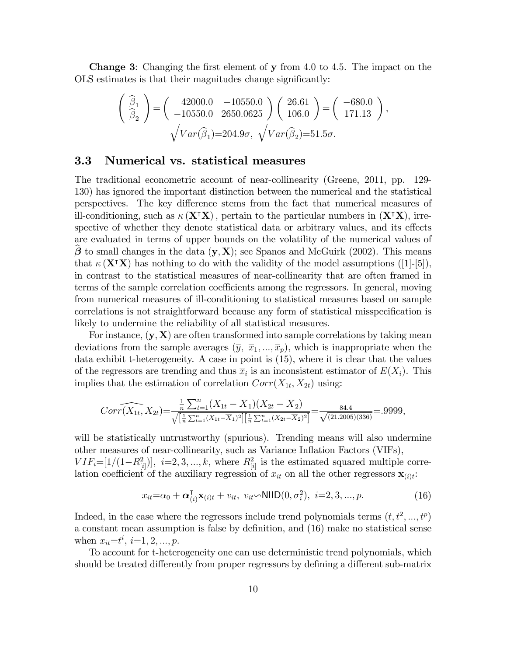**Change 3:** Changing the first element of y from 4.0 to 4.5. The impact on the OLS estimates is that their magnitudes change significantly:

$$
\begin{pmatrix}\n\hat{\beta}_1 \\
\hat{\beta}_2\n\end{pmatrix} = \begin{pmatrix}\n42000.0 & -10550.0 \\
-10550.0 & 2650.0625\n\end{pmatrix}\n\begin{pmatrix}\n26.61 \\
106.0\n\end{pmatrix} = \begin{pmatrix}\n-680.0 \\
171.13\n\end{pmatrix},
$$
\n
$$
\sqrt{Var(\hat{\beta}_1)} = 204.9\sigma, \sqrt{Var(\hat{\beta}_2)} = 51.5\sigma.
$$

#### 3.3 Numerical vs. statistical measures

The traditional econometric account of near-collinearity (Greene, 2011, pp. 129- 130) has ignored the important distinction between the numerical and the statistical perspectives. The key difference stems from the fact that numerical measures of ill-conditioning, such as  $\kappa(X^{\dagger}X)$ , pertain to the particular numbers in  $(X^{\dagger}X)$ , irrespective of whether they denote statistical data or arbitrary values, and its effects are evaluated in terms of upper bounds on the volatility of the numerical values of  $\hat{\boldsymbol{\beta}}$  to small changes in the data  $(\mathbf{y}, \mathbf{X})$ ; see Spanos and McGuirk (2002). This means that  $\kappa(X^{\dagger}X)$  has nothing to do with the validity of the model assumptions ([1]-[5]), in contrast to the statistical measures of near-collinearity that are often framed in terms of the sample correlation coefficients among the regressors. In general, moving from numerical measures of ill-conditioning to statistical measures based on sample correlations is not straightforward because any form of statistical misspecification is likely to undermine the reliability of all statistical measures.

For instance,  $(\mathbf{y}, \mathbf{X})$  are often transformed into sample correlations by taking mean deviations from the sample averages  $(\bar{y}, \bar{x}_1, ..., \bar{x}_p)$ , which is inappropriate when the data exhibit t-heterogeneity. A case in point is (15), where it is clear that the values of the regressors are trending and thus  $\overline{x}_i$  is an inconsistent estimator of  $E(X_i)$ . This implies that the estimation of correlation  $Corr(X_{1t}, X_{2t})$  using:

$$
Corr(\widehat{X}_{1t}, X_{2t}) = \frac{\frac{1}{n} \sum_{t=1}^{n} (X_{1t} - \overline{X}_1)(X_{2t} - \overline{X}_2)}{\sqrt{\left[\frac{1}{n} \sum_{t=1}^{n} (X_{1t} - \overline{X}_1)^2\right] \left[\frac{1}{n} \sum_{t=1}^{n} (X_{2t} - \overline{X}_2)^2\right]}} = \frac{84.4}{\sqrt{(21.2005)(336)}} = .9999,
$$

will be statistically untrustworthy (spurious). Trending means will also undermine other measures of near-collinearity, such as Variance Inflation Factors (VIFs),  $VIF_i=[1/(1-R_{[i]}^2)], i=2,3,...,k$ , where  $R_{[i]}^2$  is the estimated squared multiple correlation coefficient of the auxiliary regression of  $x_{it}$  on all the other regressors  $\mathbf{x}_{(i)t}$ :

$$
x_{it} = \alpha_0 + \alpha_{(i)}^{\mathsf{T}} \mathbf{x}_{(i)t} + v_{it}, \ v_{it} \sim \text{NIID}(0, \sigma_i^2), \ i = 2, 3, ..., p. \tag{16}
$$

Indeed, in the case where the regressors include trend polynomials terms  $(t, t^2, ..., t^p)$ a constant mean assumption is false by definition, and  $(16)$  make no statistical sense when  $x_{it} = t^i$ ,  $i = 1, 2, ..., p$ .

To account for t-heterogeneity one can use deterministic trend polynomials, which should be treated differently from proper regressors by defining a different sub-matrix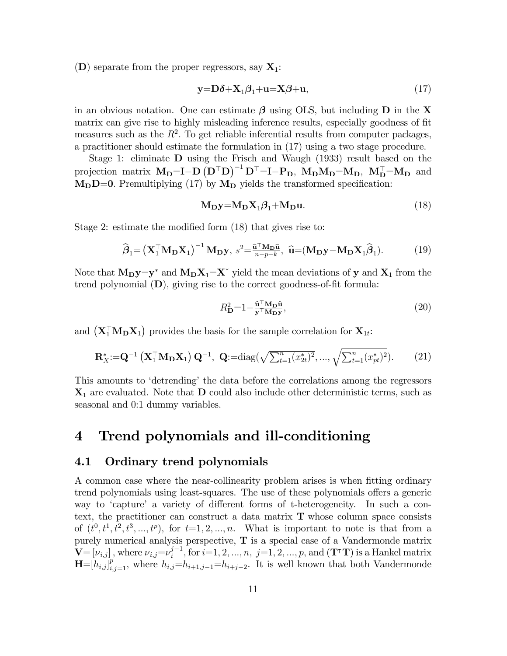(D) separate from the proper regressors, say  $X_1$ :

$$
y=D\delta+X_1\beta_1+u=X\beta+u,\tag{17}
$$

in an obvious notation. One can estimate  $\beta$  using OLS, but including **D** in the **X** matrix can give rise to highly misleading inference results, especially goodness of fit measures such as the  $R^2$ . To get reliable inferential results from computer packages, a practitioner should estimate the formulation in (17) using a two stage procedure.

Stage 1: eliminate D using the Frisch and Waugh (1933) result based on the projection matrix  $M_D = I - D (D^T D)^{-1} D^T = I - P_D$ ,  $M_D M_D = M_D$ ,  $M_D^T = M_D$  and  $M_D$ D=0. Premultiplying (17) by  $M_D$  yields the transformed specification:

$$
\mathbf{M}_{\mathbf{D}}\mathbf{y} = \mathbf{M}_{\mathbf{D}}\mathbf{X}_1\boldsymbol{\beta}_1 + \mathbf{M}_{\mathbf{D}}\mathbf{u}.\tag{18}
$$

Stage 2: estimate the modified form  $(18)$  that gives rise to:

$$
\widehat{\boldsymbol{\beta}}_1 = \left(\mathbf{X}_1^\top \mathbf{M}_\mathbf{D} \mathbf{X}_1\right)^{-1} \mathbf{M}_\mathbf{D} \mathbf{y}, \ s^2 = \frac{\widehat{\mathbf{u}}_1^\top \mathbf{M}_\mathbf{D} \widehat{\mathbf{u}}}{n - p - k}, \ \widehat{\mathbf{u}} = \left(\mathbf{M}_\mathbf{D} \mathbf{y} - \mathbf{M}_\mathbf{D} \mathbf{X}_1 \widehat{\boldsymbol{\beta}}_1\right). \tag{19}
$$

Note that  $M_{\mathbf{D}}\mathbf{y} = \mathbf{y}^*$  and  $M_{\mathbf{D}}\mathbf{X}_1 = \mathbf{X}^*$  yield the mean deviations of  $\mathbf{y}$  and  $\mathbf{X}_1$  from the trend polynomial  $(D)$ , giving rise to the correct goodness-of-fit formula:

$$
R_{\mathbf{D}}^2 = 1 - \frac{\hat{\mathbf{u}}^\top \mathbf{M}_{\mathbf{D}} \hat{\mathbf{u}}}{\mathbf{y}^\top \mathbf{M}_{\mathbf{D}} \mathbf{y}},\tag{20}
$$

and  $(X_1^{\top}M_1M_2X_1)$  provides the basis for the sample correlation for  $X_{1t}$ :

$$
\mathbf{R}_{X}^{*} := \mathbf{Q}^{-1} \left( \mathbf{X}_{1}^{\top} \mathbf{M}_{\mathbf{D}} \mathbf{X}_{1} \right) \mathbf{Q}^{-1}, \ \mathbf{Q} := \text{diag}(\sqrt{\sum_{t=1}^{n} (x_{2t}^{*})^{2}}, \dots, \sqrt{\sum_{t=1}^{n} (x_{pt}^{*})^{2}}). \tag{21}
$$

This amounts to 'detrending' the data before the correlations among the regressors  $X_1$  are evaluated. Note that **D** could also include other deterministic terms, such as seasonal and 0:1 dummy variables.

### 4 Trend polynomials and ill-conditioning

#### 4.1 Ordinary trend polynomials

A common case where the near-collinearity problem arises is when fitting ordinary trend polynomials using least-squares. The use of these polynomials offers a generic way to 'capture' a variety of different forms of t-heterogeneity. In such a context, the practitioner can construct a data matrix T whose column space consists of  $(t^0, t^1, t^2, t^3, \ldots, t^p)$ , for  $t=1, 2, \ldots, n$ . What is important to note is that from a purely numerical analysis perspective,  $T$  is a special case of a Vandermonde matrix  $\mathbf{V} = [\nu_{i,j}]$  , where  $\nu_{i,j} = \nu_i^{j-1}$ , for  $i = 1, 2, ..., n$ ,  $j = 1, 2, ..., p$ , and  $(\mathbf{T}^\intercal \mathbf{T})$  is a Hankel matrix  $\mathbf{H}=[h_{i,j}]_{i,j=1}^p$ , where  $h_{i,j}=h_{i+1,j-1}=h_{i+j-2}$ . It is well known that both Vandermonde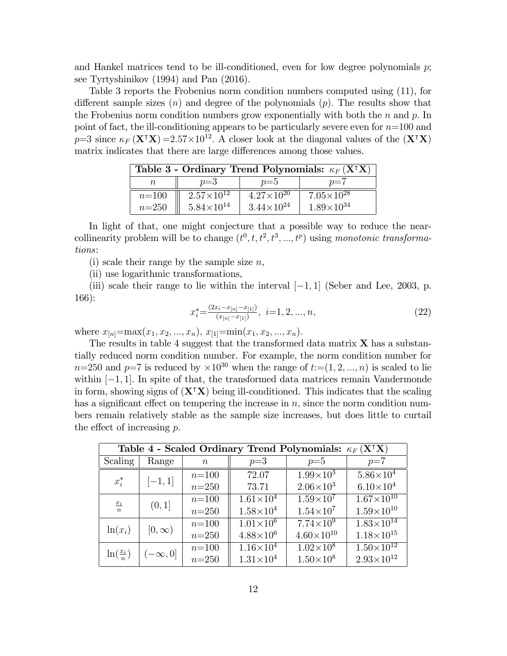and Hankel matrices tend to be ill-conditioned, even for low degree polynomials  $p$ ; see Tyrtyshinikov (1994) and Pan (2016).

Table 3 reports the Frobenius norm condition numbers computed using (11), for different sample sizes  $(n)$  and degree of the polynomials  $(p)$ . The results show that the Frobenius norm condition numbers grow exponentially with both the  $n$  and  $p$ . In point of fact, the ill-conditioning appears to be particularly severe even for  $n=100$  and  $p=3$  since  $\kappa_F (\mathbf{X}^\intercal \mathbf{X}) = 2.57 \times 10^{12}$ . A closer look at the diagonal values of the  $(\mathbf{X}^\intercal \mathbf{X})$ matrix indicates that there are large differences among those values.

|           |                       |                     | Table 3 - Ordinary Trend Polynomials: $\kappa_F(X^{\dagger}X)$ |
|-----------|-----------------------|---------------------|----------------------------------------------------------------|
| $\, n$    | $p=3$                 | $p=5$               | $p=7$                                                          |
| $n = 100$ | $2.57\times10^{12}$   | $4.27\times10^{20}$ | $7.05\times10^{28}$                                            |
| $n = 250$ | $5.84 \times 10^{14}$ | $3.44\times10^{24}$ | $1.89\times10^{34}$                                            |

In light of that, one might conjecture that a possible way to reduce the nearcollinearity problem will be to change  $(t^0, t, t^2, t^3, ..., t^p)$  using monotonic transformations:

(i) scale their range by the sample size  $n$ ,

(ii) use logarithmic transformations,

(iii) scale their range to lie within the interval  $[-1, 1]$  (Seber and Lee, 2003, p. 166):

$$
x_i^* = \frac{(2x_i - x_{[n]} - x_{[1]})}{(x_{[n]} - x_{[1]})}, \ i = 1, 2, ..., n,
$$
\n(22)

where  $x_{[n]} = \max(x_1, x_2, ..., x_n), x_{[1]} = \min(x_1, x_2, ..., x_n).$ 

The results in table 4 suggest that the transformed data matrix  $X$  has a substantially reduced norm condition number. For example, the norm condition number for  $n=250$  and  $p=7$  is reduced by  $\times 10^{30}$  when the range of  $t:=(1,2,...,n)$  is scaled to lie within  $[-1, 1]$ . In spite of that, the transformed data matrices remain Vandermonde in form, showing signs of  $(X^{\dagger}X)$  being ill-conditioned. This indicates that the scaling has a significant effect on tempering the increase in  $n$ , since the norm condition numbers remain relatively stable as the sample size increases, but does little to curtail the effect of increasing  $p$ .

|                      |               |            |                      | Table 4 - Scaled Ordinary Trend Polynomials: $\kappa_F(X^{\dagger}X)$ |                       |
|----------------------|---------------|------------|----------------------|-----------------------------------------------------------------------|-----------------------|
| Scaling              | Range         | $n_{\rm }$ | $p=3$                | $p=5$                                                                 | $p=7$                 |
|                      |               | $n = 100$  | 72.07                | $1.99\times10^{3}$                                                    | $5.86\times10^{4}$    |
| $x_i^*$              | $[-1, 1]$     | $n = 250$  | 73.71                | $2.06\times10^{3}$                                                    | $6.10\times10^{4}$    |
| $\underline{x_i}$    | (0, 1]        | $n = 100$  | $1.61\times10^{4}$   | $1.59\times10^{7}$                                                    | $1.67\times10^{10}$   |
| $\boldsymbol{n}$     |               | $n = 250$  | $1.58\times10^{4}$   | $1.54\times10^{7}$                                                    | $1.59\times10^{10}$   |
| $\ln(x_i)$           | $[0,\infty)$  | $n = 100$  | $1.01 \times 10^6$   | $7.74 \times 10^9$                                                    | $1.83 \times 10^{14}$ |
|                      |               | $n = 250$  | $4.88 \times 10^6$   | $4.60\times10^{10}$                                                   | $1.18\times10^{15}$   |
| $\ln(\frac{x_i}{n})$ | $(-\infty,0]$ | $n = 100$  | $1.16 \times 10^{4}$ | $1.02 \times 10^8$                                                    | $1.50\times10^{12}$   |
|                      |               | $n = 250$  | $1.31 \times 10^{4}$ | $1.50\times10^{8}$                                                    | $2.93\times10^{12}$   |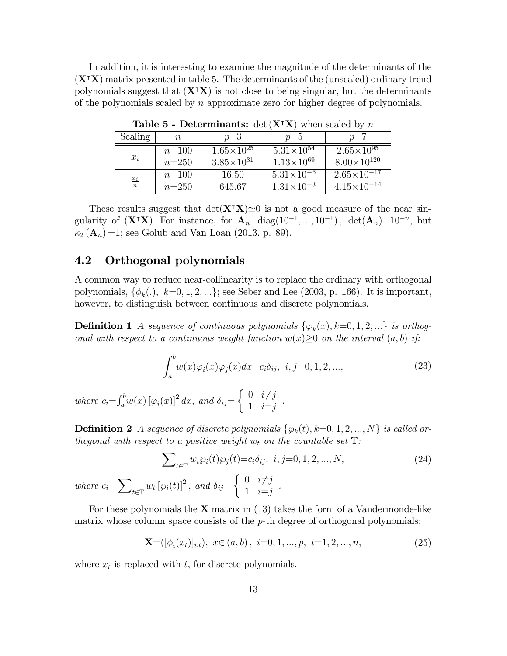In addition, it is interesting to examine the magnitude of the determinants of the  $(X^{\dagger}X)$  matrix presented in table 5. The determinants of the (unscaled) ordinary trend polynomials suggest that  $(X^{\dagger}X)$  is not close to being singular, but the determinants of the polynomials scaled by  $n$  approximate zero for higher degree of polynomials.

|                 |           |                       | <b>Table 5 - Determinants:</b> det $(X^{\dagger}X)$ when scaled by n |                        |
|-----------------|-----------|-----------------------|----------------------------------------------------------------------|------------------------|
| Scaling         | $\eta$    | $p=3$                 | $p=5$                                                                | $p=7$                  |
|                 | $n = 100$ | $1.65\times10^{25}$   | $5.31\times10^{54}$                                                  | $2.65 \times 10^{95}$  |
| $x_i$           | $n = 250$ | $3.85 \times 10^{31}$ | $1.13\times10^{69}$                                                  | $8.00\times10^{120}$   |
|                 | $n = 100$ | 16.50                 | $5.31\times10^{-6}$                                                  | $2.65\times10^{-17}$   |
| $\frac{x_i}{n}$ | $n=250$   | 645.67                | $1.31\times10^{-3}$                                                  | $4.15 \times 10^{-14}$ |

These results suggest that  $\det(X^{\dagger}X)\simeq 0$  is not a good measure of the near singularity of  $(X^{\dagger}X)$ . For instance, for  $A_n = diag(10^{-1}, ..., 10^{-1})$ ,  $det(A_n)=10^{-n}$ , but  $\kappa_2 (\mathbf{A}_n) = 1$ ; see Golub and Van Loan (2013, p. 89).

#### 4.2 Orthogonal polynomials

A common way to reduce near-collinearity is to replace the ordinary with orthogonal polynomials,  $\{\phi_k(.)\$ ,  $k=0,1,2,...\}$ ; see Seber and Lee (2003, p. 166). It is important, however, to distinguish between continuous and discrete polynomials.

**Definition 1** A sequence of continuous polynomials  $\{\varphi_k(x), k=0,1,2,...\}$  is orthogonal with respect to a continuous weight function  $w(x)>0$  on the interval  $(a, b)$  if:

$$
\int_{a}^{b} w(x)\varphi_{i}(x)\varphi_{j}(x)dx = c_{i}\delta_{ij}, \ i, j = 0, 1, 2, ..., \qquad (23)
$$

where  $c_i = \int_a^b w(x) [\varphi_i(x)]^2 dx$ , and  $\delta_{ij} =$  $\int 0 i \neq j$  $\begin{array}{cc} 0 & i \neq j \\ 1 & i=j \end{array}$ 

**Definition 2** A sequence of discrete polynomials  $\{\wp_k(t), k=0, 1, 2, ..., N\}$  is called orthogonal with respect to a positive weight  $w_t$  on the countable set  $\mathbb{T}$ :

$$
\sum_{t \in \mathbb{T}} w_t \wp_i(t) \wp_j(t) = c_i \delta_{ij}, \ i, j = 0, 1, 2, ..., N,
$$
\nwhere  $c_i = \sum_{t \in \mathbb{T}} w_t [\wp_i(t)]^2$ , and  $\delta_{ij} = \begin{cases} 0 & i \neq j \\ 1 & i = j \end{cases}$ .

\n(24)

For these polynomials the  $X$  matrix in (13) takes the form of a Vandermonde-like matrix whose column space consists of the  $p$ -th degree of orthogonal polynomials:

$$
\mathbf{X} = ([\phi_i(x_t)]_{i,t}), \ x \in (a, b), \ i = 0, 1, ..., p, \ t = 1, 2, ..., n,
$$
\n(25)

where  $x_t$  is replaced with  $t$ , for discrete polynomials.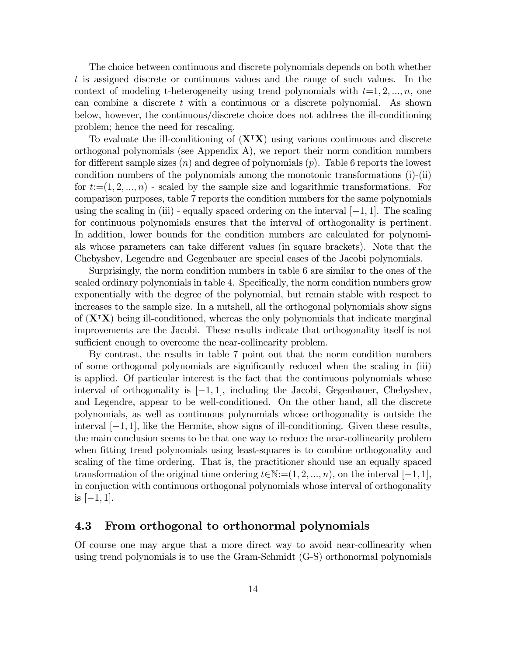The choice between continuous and discrete polynomials depends on both whether t is assigned discrete or continuous values and the range of such values. In the context of modeling t-heterogeneity using trend polynomials with  $t=1, 2, ..., n$ , one can combine a discrete  $t$  with a continuous or a discrete polynomial. As shown below, however, the continuous/discrete choice does not address the ill-conditioning problem; hence the need for rescaling.

To evaluate the ill-conditioning of  $(X^{\dagger}X)$  using various continuous and discrete orthogonal polynomials (see Appendix A), we report their norm condition numbers for different sample sizes  $(n)$  and degree of polynomials  $(p)$ . Table 6 reports the lowest condition numbers of the polynomials among the monotonic transformations (i)-(ii) for  $t:=(1,2,...,n)$  - scaled by the sample size and logarithmic transformations. For comparison purposes, table 7 reports the condition numbers for the same polynomials using the scaling in (iii) - equally spaced ordering on the interval  $[-1, 1]$ . The scaling for continuous polynomials ensures that the interval of orthogonality is pertinent. In addition, lower bounds for the condition numbers are calculated for polynomials whose parameters can take different values (in square brackets). Note that the Chebyshev, Legendre and Gegenbauer are special cases of the Jacobi polynomials.

Surprisingly, the norm condition numbers in table 6 are similar to the ones of the scaled ordinary polynomials in table 4. Specifically, the norm condition numbers grow exponentially with the degree of the polynomial, but remain stable with respect to increases to the sample size. In a nutshell, all the orthogonal polynomials show signs of  $(X^{\dagger}X)$  being ill-conditioned, whereas the only polynomials that indicate marginal improvements are the Jacobi. These results indicate that orthogonality itself is not sufficient enough to overcome the near-collinearity problem.

By contrast, the results in table 7 point out that the norm condition numbers of some orthogonal polynomials are significantly reduced when the scaling in (iii) is applied. Of particular interest is the fact that the continuous polynomials whose interval of orthogonality is  $[-1, 1]$ , including the Jacobi, Gegenbauer, Chebyshev, and Legendre, appear to be well-conditioned. On the other hand, all the discrete polynomials, as well as continuous polynomials whose orthogonality is outside the interval  $[-1, 1]$ , like the Hermite, show signs of ill-conditioning. Given these results, the main conclusion seems to be that one way to reduce the near-collinearity problem when fitting trend polynomials using least-squares is to combine orthogonality and scaling of the time ordering. That is, the practitioner should use an equally spaced transformation of the original time ordering  $t\in\mathbb{N}:=(1, 2, ..., n)$ , on the interval  $[-1, 1]$ , in conjuction with continuous orthogonal polynomials whose interval of orthogonality is  $[-1, 1]$ .

#### 4.3 From orthogonal to orthonormal polynomials

Of course one may argue that a more direct way to avoid near-collinearity when using trend polynomials is to use the Gram-Schmidt (G-S) orthonormal polynomials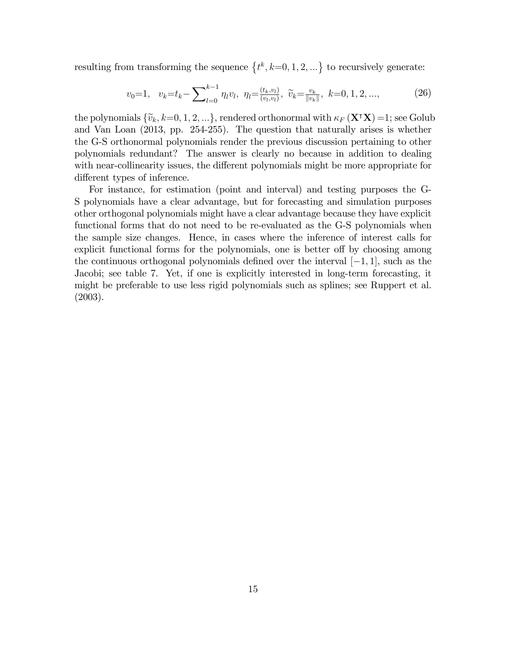resulting from transforming the sequence  $\{t^k, k=0,1,2,...\}$  to recursively generate:

$$
v_0 = 1, \quad v_k = t_k - \sum_{l=0}^{k-1} \eta_l v_l, \quad \eta_l = \frac{(t_k, v_l)}{(v_l, v_l)}, \quad \tilde{v}_k = \frac{v_k}{\|v_k\|}, \quad k = 0, 1, 2, \dots,
$$
\n
$$
(26)
$$

the polynomials  $\{\tilde{v}_k, k=0,1,2,...\}$ , rendered orthonormal with  $\kappa_F(\mathbf{X}^{\intercal}\mathbf{X}) = 1$ ; see Golub and Van Loan (2013, pp. 254-255). The question that naturally arises is whether the G-S orthonormal polynomials render the previous discussion pertaining to other polynomials redundant? The answer is clearly no because in addition to dealing with near-collinearity issues, the different polynomials might be more appropriate for different types of inference.

For instance, for estimation (point and interval) and testing purposes the G-S polynomials have a clear advantage, but for forecasting and simulation purposes other orthogonal polynomials might have a clear advantage because they have explicit functional forms that do not need to be re-evaluated as the G-S polynomials when the sample size changes. Hence, in cases where the inference of interest calls for explicit functional forms for the polynomials, one is better off by choosing among the continuous orthogonal polynomials defined over the interval  $[-1, 1]$ , such as the Jacobi; see table 7. Yet, if one is explicitly interested in long-term forecasting, it might be preferable to use less rigid polynomials such as splines; see Ruppert et al. (2003).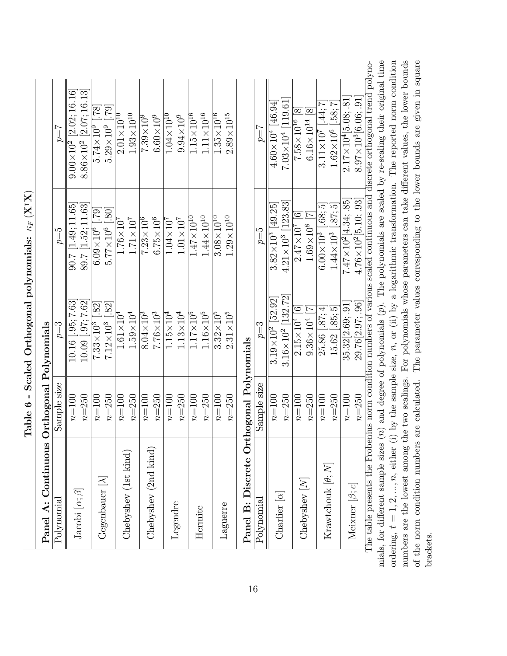|                                          |                                   |                                 | Table 6 - Scaled Orthogonal polynomials: $\kappa_F({\bf X}^\intercal {\bf X})$ |                                                                                                                                      |
|------------------------------------------|-----------------------------------|---------------------------------|--------------------------------------------------------------------------------|--------------------------------------------------------------------------------------------------------------------------------------|
| Panel A: Continuous                      | Orthogonal Polynomials            |                                 |                                                                                |                                                                                                                                      |
| Polynomial                               | Sample size                       | $p=3$                           | $b = 5$                                                                        | $l = q$                                                                                                                              |
| Jacobi $[\alpha;\beta]$                  | $n=100$                           | $10.16$ [.95; $7.63$ ]          | $90.7$ [1.49; 11.65                                                            | $\overline{9.00\times10^2}$ [2.02; 16.16]                                                                                            |
|                                          | $n = 250$                         | $10.09$ [.97; 7.62]             | 89.7 [1.52; 11.63]                                                             | $8.86 \times 10^2$ [2.07; 16.13]                                                                                                     |
|                                          | $n{=}100$                         | .82 <br>$7.33\times10^{3}$      | .79 <br>$6.09 \times 10^{6}$                                                   | $\overline{8}$ .<br>$5.74 \times 10^{9}$                                                                                             |
| Gegenbauer $[\lambda]$                   | $n{=}250$                         | .82 <br>$7.12\times10^{3}$      | $5.77 \times 10^6$ [.80]                                                       | [62]<br>$5.29 \times 10^{9}$                                                                                                         |
|                                          | $n=100$                           | $1.61 \times 10^{4}$            | $1.76 \times 10^{7}$                                                           | $2.01 \times 10^{10}$                                                                                                                |
| Chebyshev (1st kind)                     | $n = 250$                         | $1.59 \times 10^{4}$            | $1.71{\times}10^7$                                                             | $1.93\!\times\!10^{10}$                                                                                                              |
|                                          | $n{=}100$                         | $8.04 \times 10^{3}$            | $7.23 \times 10^{6}$                                                           | $7.39\times10^{9}$                                                                                                                   |
| Chebyshev (2nd kind)                     | $n = 250$                         | $7.76\times10^3$                | $6.75 \times 10^{6}$                                                           | $6.60\times10^{9}$                                                                                                                   |
|                                          | $n\hspace{-2pt}=\hspace{-2pt}100$ | $1.15 \times 10^{4}$            | $1.04 \times 10^{7}$                                                           | $1.04 \times 10^{10}$                                                                                                                |
| Legendre                                 | $n = 250$                         | $1.13 \times 10^{4}$            | $1.01{\times}10^7$                                                             | $9.94\times10^{9}$                                                                                                                   |
|                                          | $n=100$                           | $1.17 \times 10^{5}$            | $1.47 \times 10^{10}$                                                          | $1.15 \times 10^{16}$                                                                                                                |
| Hermite                                  | $n = 250$                         | $1.16\times10^{5}$              | $1.44\times10^{10}$                                                            | $1.11\times10^{16}$                                                                                                                  |
|                                          | $n{=}100$                         | $3.32\times10^{5}$              | $3.08\times10^{10}$                                                            | $1.35 \times 10^{16}$                                                                                                                |
| Laguerre                                 | $n{=}250$                         | $2.31\times10^{5}$              | $1.29\!\times\!10^{10}$                                                        | $2.89\!\times\!10^{15}$                                                                                                              |
| Panel B: Discrete Orthogonal Polynomials |                                   |                                 |                                                                                |                                                                                                                                      |
| Polynomial                               | Sample size                       | $p\hspace{-2pt}=\hspace{-2pt}3$ | $p=5$                                                                          | $\mathcal{I}{=}\mathcal{d}$                                                                                                          |
|                                          | $n=100$                           | $3.19 \times 10^{2}$ [52.92]    | $3.82 \times 10^3$ [49.25]                                                     | $4.60 \times 10^{4}$ [46.94]                                                                                                         |
| Charlier $[\alpha]$                      | $n = 250$                         | $3.16 \times 10^{2}$ [132.72]   | $4.21 \times 10^3$ [123.83]                                                    | $7.03 \times 10^4$ [119.61                                                                                                           |
|                                          | $n = 100$                         | $2.15 \times 10^{4}$ [6]        | $2.47 \times 10^{7}$ [6]                                                       | $7.58 \times 10^{16}$ 8                                                                                                              |
| Chebyshev $[N]$                          | $n{=}250$                         | $9.36 \times 10^{4}$ [7]        | $1.69 \times 10^8$ [7]                                                         | $6.16 \times 10^{14}$ [8]                                                                                                            |
|                                          | $n = 100$                         | $25.86$ [.87; 4]                | $\frac{0.00 \times 10^3}{6.68, 5}$                                             | $3.11 \times 10^{7}$ [.44; 7]                                                                                                        |
| $\text{Krawtchouk} \; [\theta; N]$       | $n = 250$                         | $15.62$ $(.85, 5)$              | $1.44 \times 10^{3}$ [.87; 5]                                                  | $1.62 \times 10^6$ .58; 7                                                                                                            |
|                                          | $n = 100$                         | 35.32 2.69; .91                 | $7.47 \times 10^{2}$ [4.34; .85]                                               | $2.17 \times 10^4$ [5.08; .81]                                                                                                       |
| Meixner $[\beta;c]$                      | $n = 250$                         | 29.76 2.97; .96                 | $4.76 \times 10^2$ [5.10; .93]                                                 | $8.97 \times 10^3$ [6.06; .91]                                                                                                       |
|                                          |                                   |                                 |                                                                                | The table presents the Frobenius norm condition numbers of various scaled continuous and discrete orthogonal trend polyno-           |
|                                          |                                   |                                 |                                                                                | als, for different sample sizes $(n)$ and degree of polynomials $(p)$ . The polynomials are scaled by re-scaling their original time |

 $\mathbf{e}$  $\overline{0}$ ordering,  $t = 1, 2, ..., n$ , either (i) by the sample size, n, or (ii) by a logarithmic transformation. The reported norm condition numbers are the lowest among the two scalings. For polynomials whose parameters can take different values, the lower bounds of the norm condition numbers are calculated. The parameter values corresponding to the lower bounds are given in square  $p$ ). The polynomials are scaled by re-scaling their original time n, or (ii) by a logarithmic transformation. The reported norm condition numbers are the lowest among the two scalings. For polynomials whose parameters can take different values, the lower bounds of the norm condition numbers are calculated. The parameter values corresponding to the lower bounds are given in square  $n)$  and degree of polynomials ( $p$ ordering,  $t = 1, 2, ..., n$ , either (i) by the sample size, mials, for different sample sizes ( $r$ brackets. mials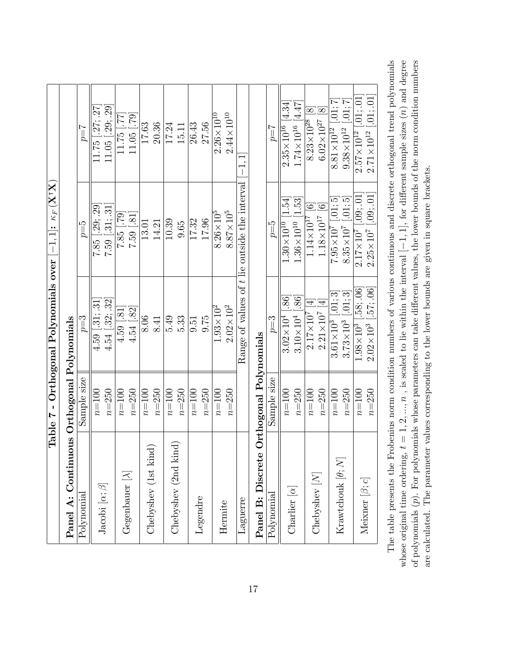|                                            |                        |                                                                                           | Table 7 - Orthogonal Polynomials over $[-1,1]$ : $\kappa_F(\mathbf{X}^\intercal \mathbf{X})$ |                                                                               |
|--------------------------------------------|------------------------|-------------------------------------------------------------------------------------------|----------------------------------------------------------------------------------------------|-------------------------------------------------------------------------------|
| Panel A: Continuous Orthogonal Polynomials |                        |                                                                                           |                                                                                              |                                                                               |
| Polynomial                                 | Sample size            | $p\hspace{-2pt}=\hspace{-2pt}3$                                                           | $p=5$                                                                                        | $l{=}d$                                                                       |
|                                            | $n = 100$              | $4.59$ [.31; .31                                                                          | [.29, .29]<br>7.85                                                                           |                                                                               |
| Jacobi $[\alpha;\beta]$                    | $n = 250$              | $4.54$ $.32$ ; $.32$                                                                      | $7.59$ $.31$ ; $.31$                                                                         | $\begin{array}{c} 11.75 \,\, [.27; .27] \\ 11.05 \,\, [.29; .29] \end{array}$ |
|                                            | $n=100$                | $\overline{[8]}$<br>4.59                                                                  | $62$ ] $98.7$                                                                                | 11.75 [.77                                                                    |
| Gegenbauer $ \lambda $                     | $n = 250$              | $\left  \cdot 82\right $<br>4.54                                                          | $\boxed{81}$<br>7.59                                                                         | [62]<br>11.05                                                                 |
|                                            | $n=100$                | 8.06                                                                                      | 13.01                                                                                        | 17.63                                                                         |
| Chebyshev (1st kind)                       | $n = 250$              | 8.41                                                                                      | 14.21                                                                                        | 20.36                                                                         |
|                                            | $n{=}100$              | 5.49                                                                                      | 10.39                                                                                        | 17.24                                                                         |
| Chebyshev (2nd kind)                       | $n = 250$              | 5.33                                                                                      | 9.65                                                                                         | 15.11                                                                         |
|                                            | $n = 100$              | 0.51                                                                                      | 17.32                                                                                        | 26.43                                                                         |
| Legendre                                   | $n = 250$              | 9.75                                                                                      | 17.96                                                                                        | 27.56                                                                         |
|                                            | $n = 100$              | $1.93 \times 10^{2}$                                                                      | $8.26\times10^{5}$                                                                           | $2.26\times10^{10}$                                                           |
| Hermite                                    | $n = 250$              | $2.02\!\times\!10^2$                                                                      | $8.87\times10^5$                                                                             | $2.44 \times 10^{10}$                                                         |
| Laguerre                                   |                        |                                                                                           | Range of values of t lie outside the interval                                                | $\frac{1}{1}$                                                                 |
| Panel B: Discrete                          | Orthogonal Polynomials |                                                                                           |                                                                                              |                                                                               |
| ${\rm Polynomial}$                         | Sample size            | $p=3$                                                                                     | $p=5$                                                                                        | $l = q$                                                                       |
| Charlier $[\alpha]$                        | $n = 100$              | $3.02\times10^{4}$ [.86]                                                                  | $1.30\times10^{10}$ [1.54]                                                                   | $2.35 \times 10^{16}$ [4.34]                                                  |
|                                            | $n = 250$              | $3.10\times10^{4}$ [.86]                                                                  | $1.36\times10^{10}$ [1.53]                                                                   | $1.74 \times 10^{16}$ [4.47]                                                  |
| Chebyshev $[N]$                            | $n=100$                | $\overline{4}$<br>$2.17 \times 10^{7}$                                                    | $1.14 \times 10^{17}$ [6]                                                                    | $\infty$<br>$8.23 \times 10^{28}$                                             |
|                                            | $n = 250$              | $2.21 \times 10^{7}$ [4]                                                                  | $1.18 \times 10^{17}$ [6]                                                                    | $6.02 \times 10^{27}$ [8]                                                     |
|                                            | $n=100$                | $3.61 \times 10^3$ [.01; 3]                                                               | $7.95 \times 10^{7}$ [.01; 5]                                                                | $\frac{8.81 \times 10^{12} [.01; 7]}{9.38 \times 10^{12} [.01; 7]}$           |
| Krawtchouk $[\theta; N]$                   | $n = 250$              | [.01; 3]<br>$3.73 \times 10^{3}$                                                          | $8.35 \times 10^{7}$ [.01; 5]                                                                |                                                                               |
|                                            | $n = 100$              | $\frac{1.98 \times 10^3}{2.02 \times 10^3}$ [.58, .06]<br>2.02×10 <sup>3</sup> [.57, .06] | $2.17\times10^{7}\,\, [.09; .01]$<br>$2.25\times10^{7}\,\, [.09; .01]$                       | $\frac{2.57 \times 10^{12} [.01; .01]}{2.71 \times 10^{12} [.01; .01]}$       |
| Meixner $[\beta; c]$                       | $n = 250$              |                                                                                           |                                                                                              |                                                                               |

The table presents the Frobenius norm condition numbers of various continuous and discrete orthogonal trend polynomials whose original time ordering,  $t = 1, 2, ..., n$ , is scaled to lie within the interval  $[-1, 1]$ , for different sample sizes  $(n)$  and degree of polynomials  $(p)$ . For polynomials whose parameters can take different values, the lower bounds of the norm condition numbers The table presents the Frobenius norm condition numbers of various continuous and discrete orthogonal trend polynomials  $n)$  and degree  $p$ ). For polynomials whose parameters can take different values, the lower bounds of the norm condition numbers whose original time ordering,  $t = 1, 2, ..., n$ , is scaled to lie within the interval  $[-1, 1]$ , for different sample sizes (*r* are calculated. The parameter values corresponding to the lower bounds are given in square brackets. are calculated. The parameter values corresponding to the lower bounds are given in square brackets. of polynomials  $\mu$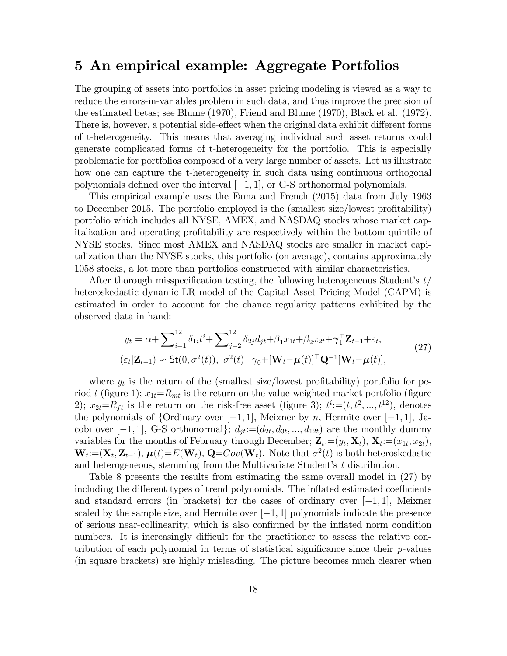## 5 An empirical example: Aggregate Portfolios

The grouping of assets into portfolios in asset pricing modeling is viewed as a way to reduce the errors-in-variables problem in such data, and thus improve the precision of the estimated betas; see Blume (1970), Friend and Blume (1970), Black et al. (1972). There is, however, a potential side-effect when the original data exhibit different forms of t-heterogeneity. This means that averaging individual such asset returns could generate complicated forms of t-heterogeneity for the portfolio. This is especially problematic for portfolios composed of a very large number of assets. Let us illustrate how one can capture the t-heterogeneity in such data using continuous orthogonal polynomials defined over the interval  $[-1, 1]$ , or G-S orthonormal polynomials.

This empirical example uses the Fama and French (2015) data from July 1963 to December 2015. The portfolio employed is the  $(smallest size/lowest profitability)$ portfolio which includes all NYSE, AMEX, and NASDAQ stocks whose market capitalization and operating profitability are respectively within the bottom quintile of NYSE stocks. Since most AMEX and NASDAQ stocks are smaller in market capitalization than the NYSE stocks, this portfolio (on average), contains approximately 1058 stocks, a lot more than portfolios constructed with similar characteristics.

After thorough misspecification testing, the following heterogeneous Student's  $t/$ heteroskedastic dynamic LR model of the Capital Asset Pricing Model (CAPM) is estimated in order to account for the chance regularity patterns exhibited by the observed data in hand:

$$
y_t = \alpha + \sum_{i=1}^{12} \delta_{1i} t^i + \sum_{j=2}^{12} \delta_{2j} d_{jt} + \beta_1 x_{1t} + \beta_2 x_{2t} + \gamma_1^{\top} \mathbf{Z}_{t-1} + \varepsilon_t,
$$
  
\n
$$
(\varepsilon_t | \mathbf{Z}_{t-1}) \backsim \text{St}(0, \sigma^2(t)), \ \sigma^2(t) = \gamma_0 + [\mathbf{W}_t - \boldsymbol{\mu}(t)]^{\top} \mathbf{Q}^{-1} [\mathbf{W}_t - \boldsymbol{\mu}(t)],
$$
\n(27)

where  $y_t$  is the return of the (smallest size/lowest profitability) portfolio for period t (figure 1);  $x_{1t}=R_{mt}$  is the return on the value-weighted market portfolio (figure 2);  $x_{2t} = R_{ft}$  is the return on the risk-free asset (figure 3);  $t^{i} := (t, t^2, ..., t^{12})$ , denotes the polynomials of {Ordinary over  $[-1, 1]$ , Meixner by n, Hermite over  $[-1, 1]$ , Jacobi over  $[-1, 1]$ , G-S orthonormal};  $d_{jt} := (d_{2t}, d_{3t}, ..., d_{12t})$  are the monthly dummy variables for the months of February through December;  $\mathbf{Z}_t := (y_t, \mathbf{X}_t)$ ,  $\mathbf{X}_t := (x_{1t}, x_{2t})$ ,  $\mathbf{W}_t = (\mathbf{X}_t, \mathbf{Z}_{t-1}), \boldsymbol{\mu}(t) = E(\mathbf{W}_t), \mathbf{Q} = Cov(\mathbf{W}_t)$ . Note that  $\sigma^2(t)$  is both heteroskedastic and heterogeneous, stemming from the Multivariate Student's  $t$  distribution.

Table 8 presents the results from estimating the same overall model in (27) by including the different types of trend polynomials. The inflated estimated coefficients and standard errors (in brackets) for the cases of ordinary over  $[-1, 1]$ , Meixner scaled by the sample size, and Hermite over  $[-1, 1]$  polynomials indicate the presence of serious near-collinearity, which is also confirmed by the inflated norm condition numbers. It is increasingly difficult for the practitioner to assess the relative contribution of each polynomial in terms of statistical significance since their  $p$ -values (in square brackets) are highly misleading. The picture becomes much clearer when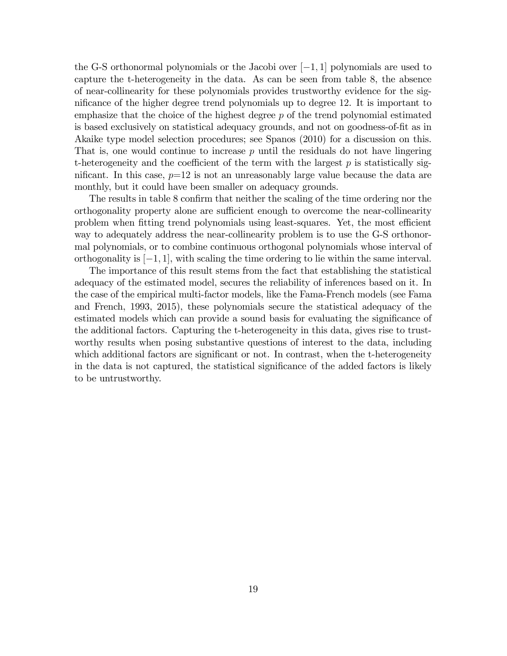the G-S orthonormal polynomials or the Jacobi over  $[-1, 1]$  polynomials are used to capture the t-heterogeneity in the data. As can be seen from table 8, the absence of near-collinearity for these polynomials provides trustworthy evidence for the significance of the higher degree trend polynomials up to degree 12. It is important to emphasize that the choice of the highest degree  $p$  of the trend polynomial estimated is based exclusively on statistical adequacy grounds, and not on goodness-of-fit as in Akaike type model selection procedures; see Spanos (2010) for a discussion on this. That is, one would continue to increase  $p$  until the residuals do not have lingering t-heterogeneity and the coefficient of the term with the largest  $p$  is statistically significant. In this case,  $p=12$  is not an unreasonably large value because the data are monthly, but it could have been smaller on adequacy grounds.

The results in table 8 confirm that neither the scaling of the time ordering nor the orthogonality property alone are sufficient enough to overcome the near-collinearity problem when fitting trend polynomials using least-squares. Yet, the most efficient way to adequately address the near-collinearity problem is to use the G-S orthonormal polynomials, or to combine continuous orthogonal polynomials whose interval of orthogonality is  $[-1, 1]$ , with scaling the time ordering to lie within the same interval.

The importance of this result stems from the fact that establishing the statistical adequacy of the estimated model, secures the reliability of inferences based on it. In the case of the empirical multi-factor models, like the Fama-French models (see Fama and French, 1993, 2015), these polynomials secure the statistical adequacy of the estimated models which can provide a sound basis for evaluating the significance of the additional factors. Capturing the t-heterogeneity in this data, gives rise to trustworthy results when posing substantive questions of interest to the data, including which additional factors are significant or not. In contrast, when the t-heterogeneity in the data is not captured, the statistical significance of the added factors is likely to be untrustworthy.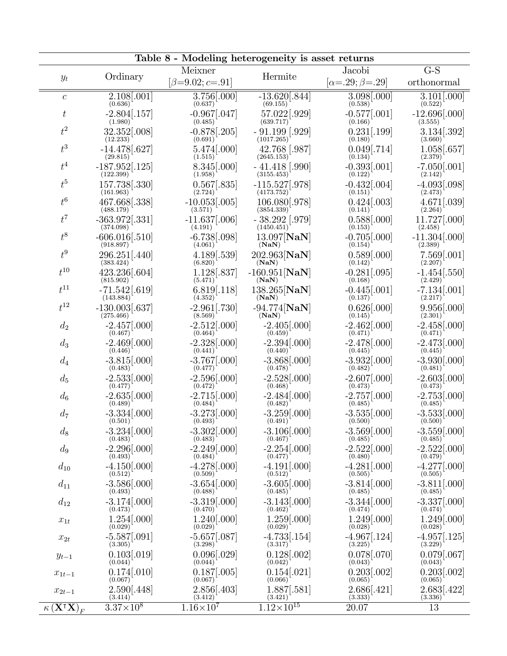|                                                           |                    | Table 8 - Modeling heterogeneity is asset returns |                          |                               |                 |
|-----------------------------------------------------------|--------------------|---------------------------------------------------|--------------------------|-------------------------------|-----------------|
| $y_t$                                                     | Ordinary           | Meixner                                           | Hermite                  | Jacobi                        | $G-S$           |
|                                                           |                    | $[\beta = 9.02; c = .91]$                         |                          | $[\alpha = .29; \beta = .29]$ | orthonormal     |
| $\boldsymbol{c}$                                          | 2.108(.001)        | 3.756[.000]                                       | $-13.620$ [.844]         | 3.098[.000]                   | $3.101$ [.000]  |
|                                                           | (0.636)            | (0.637)                                           | (69.155)                 | (0.538)                       | (0.522)         |
| $t\,$                                                     | $-2.804[.157]$     | $-0.967[.047]$                                    | 57.022 [.929]            | $-0.577$ [.001]               | $-12.696[.000]$ |
|                                                           | (1.980)            | (0.485)                                           | (639.717)                | (0.166)                       | (3.555)         |
| $t^2$                                                     | 32.352[.008]       | $-0.878$ [.205]                                   | - 91.199 [.929]          | 0.231[.199]                   | 3.134 [.392]    |
|                                                           | (12.233)           | (0.691)                                           | (1017.265)               | (0.180)                       | (3.660)         |
| $t^3$                                                     | $-14.478[.627]$    | 5.474.000                                         | 42.768 [.987]            | $0.049$ [.714]                | 1.058 657       |
|                                                           | (29.815)           | (1.515)                                           | (2645.153)               | (0.134)                       | (2.379)         |
| $t^4$                                                     | $-187.952[.125]$   | 8.345[.000]                                       | - 41.418 [.990]          | $-0.393[.001]$                | $-7.050[.001]$  |
|                                                           | (122.399)          | (1.958)                                           | (3155.453)               | (0.122)                       | (2.142)         |
| $t^5$                                                     | 157.738 [.330]     | $0.567$ [.835]                                    | $-115.527$ [.978]        | $-0.432[.004]$                | $-4.093[.098]$  |
|                                                           | (161.963)          | (2.724)                                           | (4173.752)               | (0.151)                       | (2.473)         |
| $t^6$                                                     | 467.668 [.338]     | $-10.053[.005]$                                   | 106.080 [.978]           | 0.424[.003]                   | 4.671,039       |
|                                                           | (488.179)          | (3.571)                                           | (3854.339)               | (0.141)                       | (2.264)         |
| $t^7$                                                     | $-363.972[.331]$   | $-11.637[.006]$                                   | - 38.292 [.979]          | 0.588[.000]                   | 11.727[.000]    |
|                                                           | (374.098)          | (4.191)                                           | (1450.451)               | (0.153)                       | (2.458)         |
| $t^8$                                                     | $-606.016$ [.510]  | $-6.738[.098]$                                    | $13.097 \mathbf{NaN} $   | $-0.705$ .000                 | $-11.304[.000]$ |
|                                                           | (918.897)          | (4.061)                                           | (NaN)                    | (0.154)                       | (2.389)         |
| $t^9$                                                     | 296.251 [.440]     | 4.189 [.539]                                      | $202.963 \mathbf{NaN} $  | 0.589[.000]                   | 7.569.001       |
|                                                           | (383.424)          | (6.820)                                           | (NaN)                    | (0.142)                       | (2.207)         |
| $t^{10}$                                                  | 423.236 [.604]     | 1.128 837                                         | $-160.951 \mathbf{NaN} $ | $-0.281$ [.095]               | $-1.454-.550$   |
|                                                           | (815.902)          | (5.471)                                           | (NaN)                    | (0.168)                       | (2.429)         |
| $t^{11}$                                                  | $-71.542$ [.619]   | $6.819$ [.118]                                    | $138.265[\textbf{NaN}]$  | $-0.445$ [.001]               | $-7.134[.001]$  |
|                                                           | (143.884)          | (4.352)                                           | (NaN)                    | (0.137)                       | (2.217)         |
| $t^{12}$                                                  | $-130.003$ [.637]  | $-2.961$ [.730]                                   | $-94.774$ [NaN]          | 0.626[.000]                   | 9.956(.000)     |
|                                                           | (275.466)          | (8.569)                                           | (NaN)                    | (0.145)                       | (2.301)         |
| $d_2$                                                     | $-2.457[.000]$     | $-2.512[.000]$                                    | $-2.405$ [.000]          | $-2.462[.000]$                | $-2.458[.000]$  |
|                                                           | (0.467)            | (0.464)                                           | (0.459)                  | (0.471)                       | (0.471)         |
| $d_3$                                                     | $-2.469$ .000      | $-2.328[.000]$                                    | $-2.394[.000]$           | $-2.478[.000]$                | $-2.473[.000]$  |
|                                                           | (0.446)            | (0.441)                                           | (0.440)                  | (0.445)                       | (0.445)         |
| $d_4$                                                     | $-3.815[.000]$     | $-3.767[.000]$                                    | $-3.868[.000]$           | $-3.932[.000]$                | $-3.930[.000]$  |
|                                                           | (0.483)            | (0.477)                                           | (0.478)                  | (0.482)                       | (0.481)         |
| $d_5$                                                     | $-2.533[.000]$     | $-2.596[.000]$                                    | $-2.528[.000]$           | $-2.607[.000]$                | $-2.603[.000]$  |
|                                                           | (0.477)            | (0.472)                                           | (0.468)                  | (0.473)                       | (0.473)         |
| $d_6$                                                     | $-2.635[.000]$     | $-2.715[.000]$                                    | $-2.484[.000]$           | $-2.757[.000]$                | $-2.753[.000]$  |
|                                                           | (0.489)            | (0.484)                                           | (0.482)                  | (0.485)                       | (0.485)         |
| $d_7$                                                     | $-3.334[.000]$     | $-3.273[.000]$                                    | $-3.259[.000]$           | $-3.535[.000]$                | $-3.533[.000]$  |
|                                                           | (0.501)            | (0.493)                                           | (0.491)                  | (0.500)                       | (0.500)         |
| $d_8$                                                     | $-3.234 .000$      | $-3.302[.000]$                                    | $-3.106[.000]$           | $-3.569$ .000                 | $-3.559(.000)$  |
|                                                           | (0.483)            | (0.483)                                           | (0.467)                  | (0.485)                       | (0.485)         |
| $d_9$                                                     | $-2.296 .000 $     | $-2.249[.000]$                                    | $-2.254 .000$            | $-2.522$ [.000]               | $-2.522$ .000   |
|                                                           | (0.493)            | (0.484)                                           | (0.477)                  | (0.480)                       | (0.479)         |
| $d_{10}$                                                  | $-4.150 .000]$     | $-4.278[.000]$                                    | $-4.191 .000 $           | $-4.281$ , 000                | $-4.277 .000$   |
|                                                           | (0.512)            | (0.509)                                           | (0.512)                  | (0.505)                       | (0.505)         |
| $d_{11}$                                                  | $-3.586(.000)$     | $-3.654[.000]$                                    | $-3.605$ .000            | $-3.814 .000$                 | $-3.811 .000$   |
|                                                           | (0.493)            | (0.488)                                           | (0.485)                  | (0.485)                       | (0.485)         |
| $d_{12}$                                                  | $-3.174 .000$      | $-3.319[.000]$                                    | $-3.143 .000$            | $-3.344$ .000                 | $-3.337[.000]$  |
|                                                           | (0.473)            | (0.470)                                           | (0.462)                  | (0.474)                       | (0.474)         |
| $x_{1t}$                                                  | 1.254.000          | 1.240 .000                                        | 1.259 .000               | 1.249 [.000]                  | 1.249[.000]     |
|                                                           | (0.029)            | (0.029)                                           | (0.029)                  | (0.028)                       | (0.028)         |
| $\boldsymbol{x}_{2t}$                                     | $-5.587$ .091      | $-5.657$ .087                                     | $-4.733$ . 154           | $-4.967$ . 124                | $-4.957$ . 125  |
|                                                           | (3.305)            | (3.298)                                           | (3.317)                  | (3.225)                       | (3.229)         |
| $y_{t-1}$                                                 | $0.103$ [.019]     | $0.096$ [.029]                                    | $0.128$ [.002]           | $0.078$ [.070]                | 0.079[.067]     |
|                                                           | (0.044)            | (0.044)                                           | (0.042)                  | (0.043)                       | (0.043)         |
| $x_{1t-1}$                                                | $0.174 \times 010$ | 0.187,005                                         | 0.154   .021]            | $0.203 \, 0.002$              | $0.203$ [.002]  |
|                                                           | (0.067)            | (0.067)                                           | (0.066)                  | (0.065)                       | (0.065)         |
| $x_{2t-1}$                                                | $2.590$ [.448]     | 2.856 [.403]                                      | 1.887 .581               | 2.686 [.421]                  | 2.683 [.422]    |
|                                                           | (3.414)            | (3.412)                                           | (3.421)                  | (3.333)                       | (3.336)         |
| $\kappa\left(\mathbf{X}^{\intercal}\mathbf{X}\right)_{F}$ | $3.37\times10^8$   | $1.16\times10^{7}$                                | $1.12\times10^{15}$      | 20.07                         | 13              |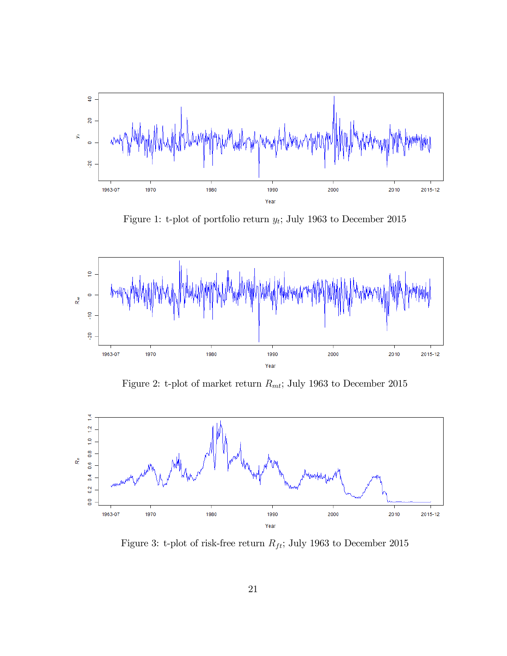

Figure 1: t-plot of portfolio return  $y_t$ ; July 1963 to December 2015



Figure 2: t-plot of market return  $\mathcal{R}_{mt};$  July 1963 to December 2015



Figure 3: t-plot of risk-free return  $R_{ft};$  July 1963 to December 2015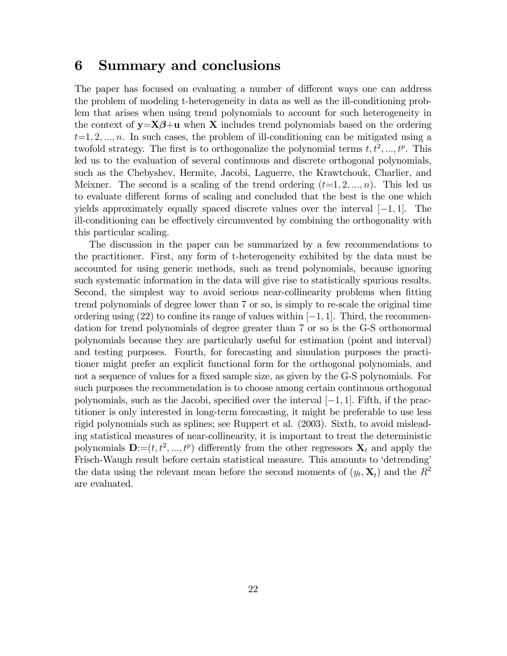## 6 Summary and conclusions

The paper has focused on evaluating a number of different ways one can address the problem of modeling t-heterogeneity in data as well as the ill-conditioning problem that arises when using trend polynomials to account for such heterogeneity in the context of  $y=X\beta+u$  when X includes trend polynomials based on the ordering  $t=1, 2, ..., n$ . In such cases, the problem of ill-conditioning can be mitigated using a twofold strategy. The first is to orthogonalize the polynomial terms  $t, t^2, ..., t^p$ . This led us to the evaluation of several continuous and discrete orthogonal polynomials, such as the Chebyshev, Hermite, Jacobi, Laguerre, the Krawtchouk, Charlier, and Meixner. The second is a scaling of the trend ordering  $(t=1, 2, ..., n)$ . This led us to evaluate different forms of scaling and concluded that the best is the one which yields approximately equally spaced discrete values over the interval  $[-1, 1]$ . The ill-conditioning can be effectively circumvented by combining the orthogonality with this particular scaling.

The discussion in the paper can be summarized by a few recommendations to the practitioner. First, any form of t-heterogeneity exhibited by the data must be accounted for using generic methods, such as trend polynomials, because ignoring such systematic information in the data will give rise to statistically spurious results. Second, the simplest way to avoid serious near-collinearity problems when fitting trend polynomials of degree lower than 7 or so, is simply to re-scale the original time ordering using (22) to confine its range of values within  $[-1, 1]$ . Third, the recommendation for trend polynomials of degree greater than 7 or so is the G-S orthonormal polynomials because they are particularly useful for estimation (point and interval) and testing purposes. Fourth, for forecasting and simulation purposes the practitioner might prefer an explicit functional form for the orthogonal polynomials, and not a sequence of values for a fixed sample size, as given by the G-S polynomials. For such purposes the recommendation is to choose among certain continuous orthogonal polynomials, such as the Jacobi, specified over the interval  $[-1, 1]$ . Fifth, if the practitioner is only interested in long-term forecasting, it might be preferable to use less rigid polynomials such as splines; see Ruppert et al. (2003). Sixth, to avoid misleading statistical measures of near-collinearity, it is important to treat the deterministic polynomials  $\mathbf{D} := (t, t^2, ..., t^p)$  differently from the other regressors  $\mathbf{X}_t$  and apply the Frisch-Waugh result before certain statistical measure. This amounts to 'detrending' the data using the relevant mean before the second moments of  $(y_t, \mathbf{X}_t)$  and the  $R^2$ are evaluated.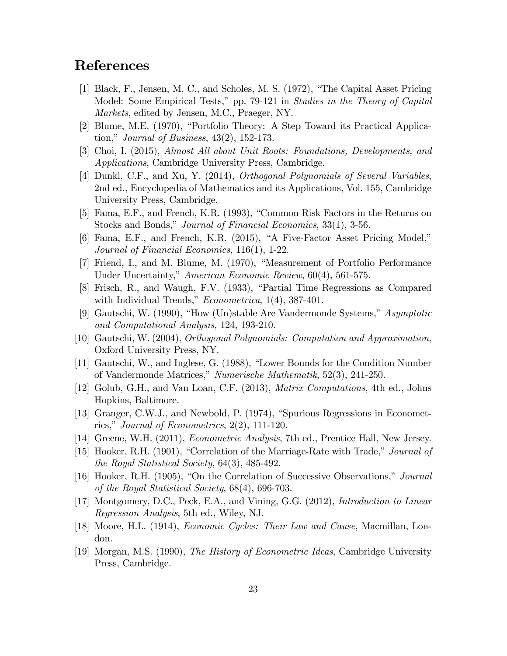## References

- [1] Black, F., Jensen, M. C., and Scholes, M. S. (1972), "The Capital Asset Pricing Model: Some Empirical Tests," pp. 79-121 in Studies in the Theory of Capital Markets, edited by Jensen, M.C., Praeger, NY.
- [2] Blume, M.E.  $(1970)$ , "Portfolio Theory: A Step Toward its Practical Application," Journal of Business,  $43(2)$ , 152-173.
- [3] Choi, I. (2015), Almost All about Unit Roots: Foundations, Developments, and Applications, Cambridge University Press, Cambridge.
- [4] Dunkl, C.F., and Xu, Y. (2014), Orthogonal Polynomials of Several Variables, 2nd ed., Encyclopedia of Mathematics and its Applications, Vol. 155, Cambridge University Press, Cambridge.
- [5] Fama, E.F., and French, K.R.  $(1993)$ , "Common Risk Factors in the Returns on Stocks and Bonds," Journal of Financial Economics, 33(1), 3-56.
- $[6]$  Fama, E.F., and French, K.R.  $(2015)$ , "A Five-Factor Asset Pricing Model," Journal of Financial Economics, 116(1), 1-22.
- [7] Friend, I., and M. Blume, M. (1970), "Measurement of Portfolio Performance Under Uncertainty," American Economic Review,  $60(4)$ , 561-575.
- [8] Frisch, R., and Waugh, F.V. (1933), "Partial Time Regressions as Compared with Individual Trends,"  $Econometrica$ ,  $1(4)$ , 387-401.
- [9] Gautschi, W. (1990), "How (Un)stable Are Vandermonde Systems,"  $Asymptotic$ and Computational Analysis, 124, 193-210.
- [10] Gautschi, W. (2004), Orthogonal Polynomials: Computation and Approximation, Oxford University Press, NY.
- [11] Gautschi, W., and Inglese, G. (1988), "Lower Bounds for the Condition Number of Vandermonde Matrices," Numerische Mathematik, 52(3), 241-250.
- [12] Golub, G.H., and Van Loan, C.F. (2013), Matrix Computations, 4th ed., Johns Hopkins, Baltimore.
- [13] Granger, C.W.J., and Newbold, P. (1974), "Spurious Regressions in Econometrics," Journal of Econometrics,  $2(2)$ , 111-120.
- [14] Greene, W.H. (2011), Econometric Analysis, 7th ed., Prentice Hall, New Jersey.
- [15] Hooker, R.H.  $(1901)$ , "Correlation of the Marriage-Rate with Trade," *Journal of* the Royal Statistical Society, 64(3), 485-492.
- [16] Hooker, R.H. (1905), "On the Correlation of Successive Observations," Journal of the Royal Statistical Society, 68(4), 696-703.
- [17] Montgomery, D.C., Peck, E.A., and Vining, G.G. (2012), Introduction to Linear Regression Analysis, 5th ed., Wiley, NJ.
- [18] Moore, H.L. (1914), Economic Cycles: Their Law and Cause, Macmillan, London.
- [19] Morgan, M.S. (1990), The History of Econometric Ideas, Cambridge University Press, Cambridge.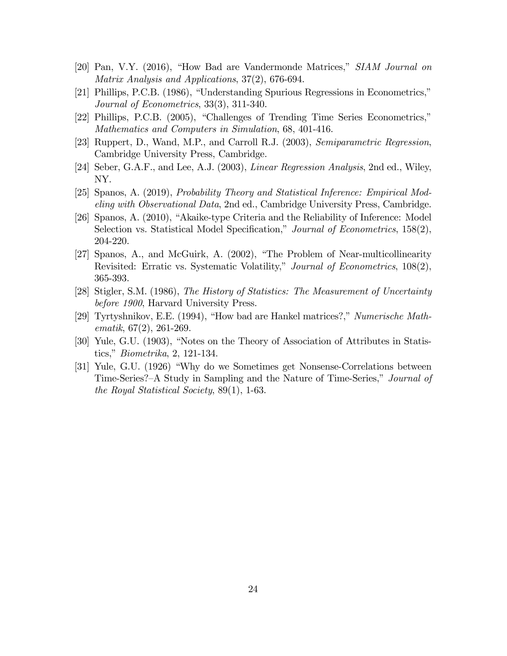- $[20]$  Pan, V.Y.  $(2016)$ , "How Bad are Vandermonde Matrices," SIAM Journal on Matrix Analysis and Applications, 37(2), 676-694.
- [21] Phillips, P.C.B. (1986), "Understanding Spurious Regressions in Econometrics," Journal of Econometrics, 33(3), 311-340.
- [22] Phillips, P.C.B. (2005), "Challenges of Trending Time Series Econometrics," Mathematics and Computers in Simulation, 68, 401-416.
- [23] Ruppert, D., Wand, M.P., and Carroll R.J. (2003), Semiparametric Regression, Cambridge University Press, Cambridge.
- [24] Seber, G.A.F., and Lee, A.J. (2003), Linear Regression Analysis, 2nd ed., Wiley, NY.
- [25] Spanos, A. (2019), Probability Theory and Statistical Inference: Empirical Modeling with Observational Data, 2nd ed., Cambridge University Press, Cambridge.
- [26] Spanos, A.  $(2010)$ , "Akaike-type Criteria and the Reliability of Inference: Model Selection vs. Statistical Model Specification," Journal of Econometrics,  $158(2)$ , 204-220.
- [27] Spanos, A., and McGuirk, A. (2002), "The Problem of Near-multicollinearity Revisited: Erratic vs. Systematic Volatility," Journal of Econometrics, 108(2), 365-393.
- [28] Stigler, S.M. (1986), The History of Statistics: The Measurement of Uncertainty before 1900, Harvard University Press.
- [29] Tyrtyshnikov, E.E.  $(1994)$ , "How bad are Hankel matrices?," Numerische Mathematik, 67(2), 261-269.
- [30] Yule, G.U. (1903), "Notes on the Theory of Association of Attributes in Statistics,"  $Biometrika$ , 2, 121-134.
- [31] Yule, G.U. (1926) "Why do we Sometimes get Nonsense-Correlations between Time-Series?<sup>-</sup>A Study in Sampling and the Nature of Time-Series," *Journal of* the Royal Statistical Society, 89(1), 1-63.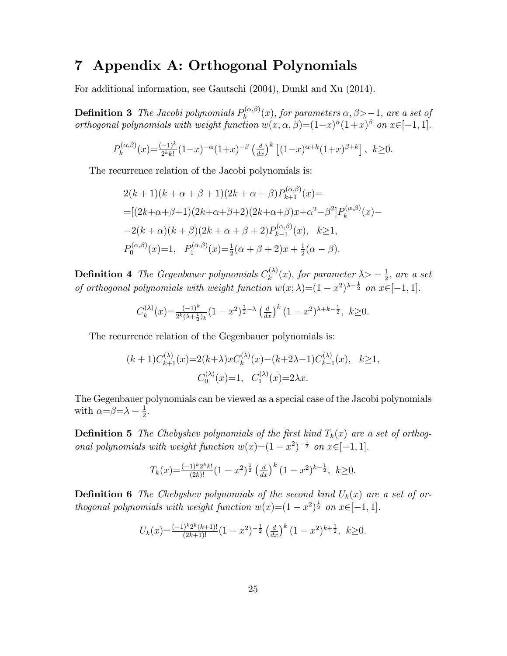## 7 Appendix A: Orthogonal Polynomials

For additional information, see Gautschi (2004), Dunkl and Xu (2014).

**Definition 3** The Jacobi polynomials  $P_k^{(\alpha,\beta)}$  $\mathcal{R}_k^{(\alpha,\beta)}(x)$ , for parameters  $\alpha, \beta > -1$ , are a set of orthogonal polynomials with weight function  $w(x; \alpha, \beta) = (1-x)^{\alpha}(1+x)^{\beta}$  on  $x \in [-1, 1]$ .

$$
P_k^{(\alpha,\beta)}(x) = \frac{(-1)^k}{2^k k!} (1-x)^{-\alpha} (1+x)^{-\beta} \left(\frac{d}{dx}\right)^k \left[ (1-x)^{\alpha+k} (1+x)^{\beta+k} \right], \ k \ge 0.
$$

The recurrence relation of the Jacobi polynomials is:

$$
2(k+1)(k+\alpha+\beta+1)(2k+\alpha+\beta)P_{k+1}^{(\alpha,\beta)}(x) =
$$
  
= [(2k+\alpha+\beta+1)(2k+\alpha+\beta+2)(2k+\alpha+\beta)x+\alpha^2-\beta^2]P\_k^{(\alpha,\beta)}(x) -  
-2(k+\alpha)(k+\beta)(2k+\alpha+\beta+2)P\_{k-1}^{(\alpha,\beta)}(x), k\ge 1,  
P\_0^{(\alpha,\beta)}(x)=1, P\_1^{(\alpha,\beta)}(x)=\frac{1}{2}(\alpha+\beta+2)x+\frac{1}{2}(\alpha-\beta).

**Definition 4** The Gegenbauer polynomials  $C_k^{(\lambda)}$  $k^{(\lambda)}(x)$ , for parameter  $\lambda > -\frac{1}{2}$  $\frac{1}{2}$ , are a set of orthogonal polynomials with weight function  $w(x; \lambda)=(1-x^2)^{\lambda-\frac{1}{2}}$  on  $x \in [-1, 1]$ .

$$
C_k^{(\lambda)}(x) = \frac{(-1)^k}{2^k(\lambda + \frac{1}{2})_k} (1 - x^2)^{\frac{1}{2} - \lambda} \left(\frac{d}{dx}\right)^k (1 - x^2)^{\lambda + k - \frac{1}{2}}, \ k \ge 0.
$$

The recurrence relation of the Gegenbauer polynomials is:

$$
(k+1)C_{k+1}^{(\lambda)}(x)=2(k+\lambda)xC_k^{(\lambda)}(x)-(k+2\lambda-1)C_{k-1}^{(\lambda)}(x), \quad k\geq 1,
$$
  

$$
C_0^{(\lambda)}(x)=1, \quad C_1^{(\lambda)}(x)=2\lambda x.
$$

The Gegenbauer polynomials can be viewed as a special case of the Jacobi polynomials with  $\alpha = \beta = \lambda - \frac{1}{2}$  $\frac{1}{2}$ .

**Definition 5** The Chebyshev polynomials of the first kind  $T_k(x)$  are a set of orthogonal polynomials with weight function  $w(x)=(1-x^2)^{-\frac{1}{2}}$  on  $x\in[-1,1]$ .

$$
T_k(x) = \frac{(-1)^k 2^k k!}{(2k)!} (1 - x^2)^{\frac{1}{2}} \left(\frac{d}{dx}\right)^k (1 - x^2)^{k - \frac{1}{2}}, \ k \ge 0.
$$

**Definition 6** The Chebyshev polynomials of the second kind  $U_k(x)$  are a set of orthogonal polynomials with weight function  $w(x)=(1-x^2)^{\frac{1}{2}}$  on  $x\in[-1,1]$ .

$$
U_k(x) = \frac{(-1)^k 2^k (k+1)!}{(2k+1)!} (1-x^2)^{-\frac{1}{2}} \left(\frac{d}{dx}\right)^k (1-x^2)^{k+\frac{1}{2}}, \ k \ge 0.
$$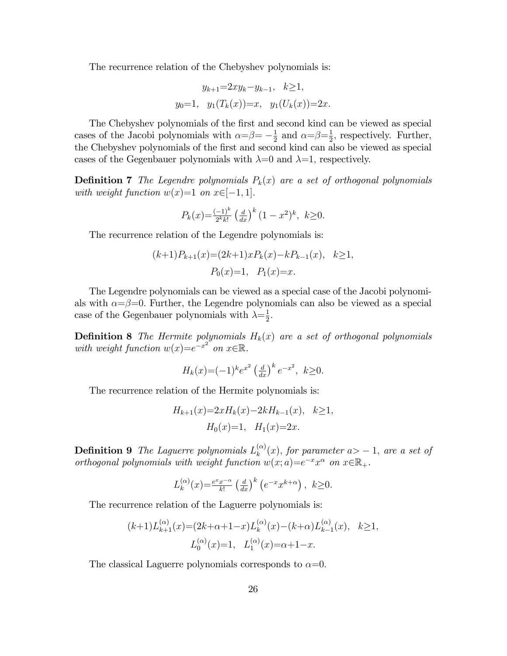The recurrence relation of the Chebyshev polynomials is:

$$
y_{k+1}=2xy_k-y_{k-1}, k\geq 1,
$$
  
 $y_0=1, y_1(T_k(x))=x, y_1(U_k(x))=2x.$ 

The Chebyshev polynomials of the first and second kind can be viewed as special cases of the Jacobi polynomials with  $\alpha = \beta = -\frac{1}{2}$  $\frac{1}{2}$  and  $\alpha = \beta = \frac{1}{2}$  $\frac{1}{2}$ , respectively. Further, the Chebyshev polynomials of the first and second kind can also be viewed as special cases of the Gegenbauer polynomials with  $\lambda=0$  and  $\lambda=1$ , respectively.

**Definition 7** The Legendre polynomials  $P_k(x)$  are a set of orthogonal polynomials with weight function  $w(x)=1$  on  $x\in[-1, 1].$ 

$$
P_k(x) = \frac{(-1)^k}{2^k k!} \left(\frac{d}{dx}\right)^k (1 - x^2)^k, \ k \ge 0.
$$

The recurrence relation of the Legendre polynomials is:

$$
(k+1)P_{k+1}(x)=(2k+1)xP_k(x)-kP_{k-1}(x), k\geq 1,
$$
  

$$
P_0(x)=1, P_1(x)=x.
$$

The Legendre polynomials can be viewed as a special case of the Jacobi polynomials with  $\alpha = \beta = 0$ . Further, the Legendre polynomials can also be viewed as a special case of the Gegenbauer polynomials with  $\lambda = \frac{1}{2}$  $\frac{1}{2}$ .

**Definition 8** The Hermite polynomials  $H_k(x)$  are a set of orthogonal polynomials with weight function  $w(x)=e^{-x^2}$  on  $x \in \mathbb{R}$ .

$$
H_k(x) = (-1)^k e^{x^2} \left(\frac{d}{dx}\right)^k e^{-x^2}, \ k \ge 0.
$$

The recurrence relation of the Hermite polynomials is:

$$
H_{k+1}(x)=2xH_k(x)-2kH_{k-1}(x), \quad k\geq 1,
$$
  

$$
H_0(x)=1, \quad H_1(x)=2x.
$$

**Definition 9** The Laguerre polynomials  $L_k^{(\alpha)}$  $\mathcal{L}_{k}^{(\alpha)}(x)$ , for parameter a> - 1, are a set of orthogonal polynomials with weight function  $w(x; a) = e^{-x} x^{\alpha}$  on  $x \in \mathbb{R}_+$ .

$$
L_k^{(\alpha)}(x) = \frac{e^x x^{-\alpha}}{k!} \left(\frac{d}{dx}\right)^k \left(e^{-x} x^{k+\alpha}\right), \ k \ge 0.
$$

The recurrence relation of the Laguerre polynomials is:

$$
(k+1)L_{k+1}^{(\alpha)}(x)=(2k+\alpha+1-x)L_k^{(\alpha)}(x)-(k+\alpha)L_{k-1}^{(\alpha)}(x), \quad k\geq 1,
$$
  

$$
L_0^{(\alpha)}(x)=1, \quad L_1^{(\alpha)}(x)=\alpha+1-x.
$$

The classical Laguerre polynomials corresponds to  $\alpha=0$ .